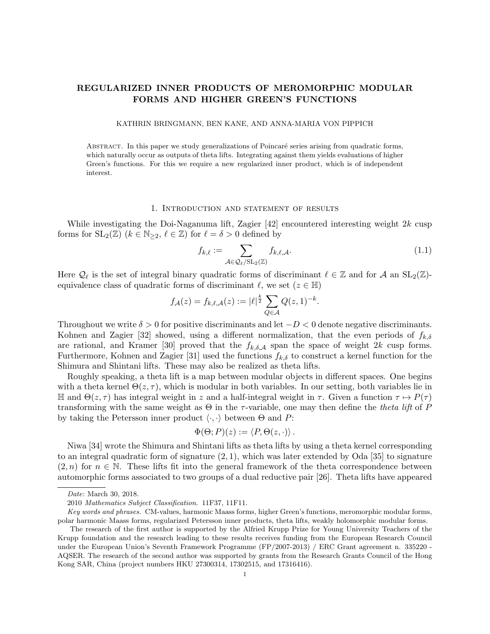# REGULARIZED INNER PRODUCTS OF MEROMORPHIC MODULAR FORMS AND HIGHER GREEN'S FUNCTIONS

## KATHRIN BRINGMANN, BEN KANE, AND ANNA-MARIA VON PIPPICH

ABSTRACT. In this paper we study generalizations of Poincaré series arising from quadratic forms, which naturally occur as outputs of theta lifts. Integrating against them yields evaluations of higher Green's functions. For this we require a new regularized inner product, which is of independent interest.

#### 1. Introduction and statement of results

While investigating the Doi-Naganuma lift, Zagier [42] encountered interesting weight  $2k$  cusp forms for  $SL_2(\mathbb{Z})$   $(k \in \mathbb{N}_{\geq 2}, \ell \in \mathbb{Z})$  for  $\ell = \delta > 0$  defined by

$$
f_{k,\ell} := \sum_{\mathcal{A} \in \mathcal{Q}_{\ell}/\mathrm{SL}_2(\mathbb{Z})} f_{k,\ell,\mathcal{A}}.\tag{1.1}
$$

Here  $\mathcal{Q}_\ell$  is the set of integral binary quadratic forms of discriminant  $\ell \in \mathbb{Z}$  and for A an  $SL_2(\mathbb{Z})$ equivalence class of quadratic forms of discriminant  $\ell$ , we set ( $z \in \mathbb{H}$ )

$$
f_{\mathcal{A}}(z) = f_{k,\ell,\mathcal{A}}(z) := |\ell|^{\frac{k}{2}} \sum_{Q \in \mathcal{A}} Q(z,1)^{-k}.
$$

Throughout we write  $\delta > 0$  for positive discriminants and let  $-D < 0$  denote negative discriminants. Kohnen and Zagier [32] showed, using a different normalization, that the even periods of  $f_{k,\delta}$ are rational, and Kramer [30] proved that the  $f_{k,\delta,\mathcal{A}}$  span the space of weight 2k cusp forms. Furthermore, Kohnen and Zagier [31] used the functions  $f_{k,\delta}$  to construct a kernel function for the Shimura and Shintani lifts. These may also be realized as theta lifts.

Roughly speaking, a theta lift is a map between modular objects in different spaces. One begins with a theta kernel  $\Theta(z, \tau)$ , which is modular in both variables. In our setting, both variables lie in  $\mathbb{H}$  and  $\Theta(z, τ)$  has integral weight in z and a half-integral weight in τ. Given a function  $τ$  →  $P(τ)$ transforming with the same weight as  $\Theta$  in the  $\tau$ -variable, one may then define the *theta lift* of P by taking the Petersson inner product  $\langle \cdot, \cdot \rangle$  between  $\Theta$  and P:

$$
\Phi(\Theta; P)(z) := \langle P, \Theta(z, \cdot) \rangle.
$$

Niwa [34] wrote the Shimura and Shintani lifts as theta lifts by using a theta kernel corresponding to an integral quadratic form of signature  $(2, 1)$ , which was later extended by Oda [35] to signature  $(2, n)$  for  $n \in \mathbb{N}$ . These lifts fit into the general framework of the theta correspondence between automorphic forms associated to two groups of a dual reductive pair [26]. Theta lifts have appeared

Date: March 30, 2018.

<sup>2010</sup> Mathematics Subject Classification. 11F37, 11F11.

Key words and phrases. CM-values, harmonic Maass forms, higher Green's functions, meromorphic modular forms, polar harmonic Maass forms, regularized Petersson inner products, theta lifts, weakly holomorphic modular forms.

The research of the first author is supported by the Alfried Krupp Prize for Young University Teachers of the Krupp foundation and the research leading to these results receives funding from the European Research Council under the European Union's Seventh Framework Programme (FP/2007-2013) / ERC Grant agreement n. 335220 - AQSER. The research of the second author was supported by grants from the Research Grants Council of the Hong Kong SAR, China (project numbers HKU 27300314, 17302515, and 17316416).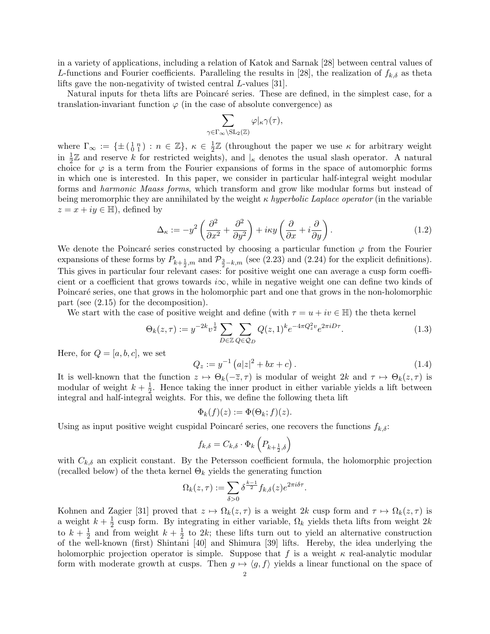in a variety of applications, including a relation of Katok and Sarnak [28] between central values of L-functions and Fourier coefficients. Paralleling the results in [28], the realization of  $f_{k,\delta}$  as theta lifts gave the non-negativity of twisted central L-values [31].

Natural inputs for theta lifts are Poincaré series. These are defined, in the simplest case, for a translation-invariant function  $\varphi$  (in the case of absolute convergence) as

$$
\sum_{\gamma\in\Gamma_\infty\backslash\mathrm{SL}_2(\mathbb{Z})}\varphi|_\kappa\gamma(\tau),
$$

where  $\Gamma_{\infty} := {\{\pm (\begin{smallmatrix} 1 & n \\ 0 & 1 \end{smallmatrix}) : n \in \mathbb{Z}\}, \kappa \in \frac{1}{2}$  $\frac{1}{2}\mathbb{Z}$  (throughout the paper we use  $\kappa$  for arbitrary weight in  $\frac{1}{2}\mathbb{Z}$  and reserve k for restricted weights), and  $\vert_{\kappa}$  denotes the usual slash operator. A natural choice for  $\varphi$  is a term from the Fourier expansions of forms in the space of automorphic forms in which one is interested. In this paper, we consider in particular half-integral weight modular forms and harmonic Maass forms, which transform and grow like modular forms but instead of being meromorphic they are annihilated by the weight  $\kappa$  hyperbolic Laplace operator (in the variable  $z = x + iy \in \mathbb{H}$ , defined by

$$
\Delta_{\kappa} := -y^2 \left( \frac{\partial^2}{\partial x^2} + \frac{\partial^2}{\partial y^2} \right) + i\kappa y \left( \frac{\partial}{\partial x} + i \frac{\partial}{\partial y} \right). \tag{1.2}
$$

We denote the Poincaré series constructed by choosing a particular function  $\varphi$  from the Fourier expansions of these forms by  $P_{k+\frac{1}{2},m}$  and  $\mathcal{P}_{\frac{3}{2}-k,m}$  (see (2.23) and (2.24) for the explicit definitions). This gives in particular four relevant cases: for positive weight one can average a cusp form coefficient or a coefficient that grows towards i $\infty$ , while in negative weight one can define two kinds of Poincaré series, one that grows in the holomorphic part and one that grows in the non-holomorphic part (see (2.15) for the decomposition).

We start with the case of positive weight and define (with  $\tau = u + iv \in \mathbb{H}$ ) the theta kernel

$$
\Theta_k(z,\tau) := y^{-2k} v^{\frac{1}{2}} \sum_{D \in \mathbb{Z}} \sum_{Q \in \mathcal{Q}_D} Q(z,1)^k e^{-4\pi Q_z^2 v} e^{2\pi i D\tau}.
$$
 (1.3)

Here, for  $Q = [a, b, c]$ , we set

$$
Q_z := y^{-1} \left( a|z|^2 + bx + c \right). \tag{1.4}
$$

It is well-known that the function  $z \mapsto \Theta_k(-\overline{z}, \tau)$  is modular of weight  $2k$  and  $\tau \mapsto \Theta_k(z, \tau)$  is modular of weight  $k + \frac{1}{2}$  $\frac{1}{2}$ . Hence taking the inner product in either variable yields a lift between integral and half-integral weights. For this, we define the following theta lift

$$
\Phi_k(f)(z) := \Phi(\Theta_k; f)(z).
$$

Using as input positive weight cuspidal Poincaré series, one recovers the functions  $f_{k,\delta}$ :

$$
f_{k,\delta} = C_{k,\delta} \cdot \Phi_k \left( P_{k + \frac{1}{2},\delta} \right)
$$

with  $C_{k,\delta}$  an explicit constant. By the Petersson coefficient formula, the holomorphic projection (recalled below) of the theta kernel  $\Theta_k$  yields the generating function

$$
\Omega_k(z,\tau) := \sum_{\delta>0} \delta^{\frac{k-1}{2}} f_{k,\delta}(z) e^{2\pi i \delta \tau}.
$$

Kohnen and Zagier [31] proved that  $z \mapsto \Omega_k(z, \tau)$  is a weight 2k cusp form and  $\tau \mapsto \Omega_k(z, \tau)$  is a weight  $k+\frac{1}{2}$  $\frac{1}{2}$  cusp form. By integrating in either variable,  $\Omega_k$  yields theta lifts from weight  $2k$ to  $k+\frac{1}{2}$  $\frac{1}{2}$  and from weight  $k + \frac{1}{2}$  $\frac{1}{2}$  to 2k; these lifts turn out to yield an alternative construction of the well-known (first) Shintani [40] and Shimura [39] lifts. Hereby, the idea underlying the holomorphic projection operator is simple. Suppose that f is a weight  $\kappa$  real-analytic modular form with moderate growth at cusps. Then  $g \mapsto \langle g, f \rangle$  yields a linear functional on the space of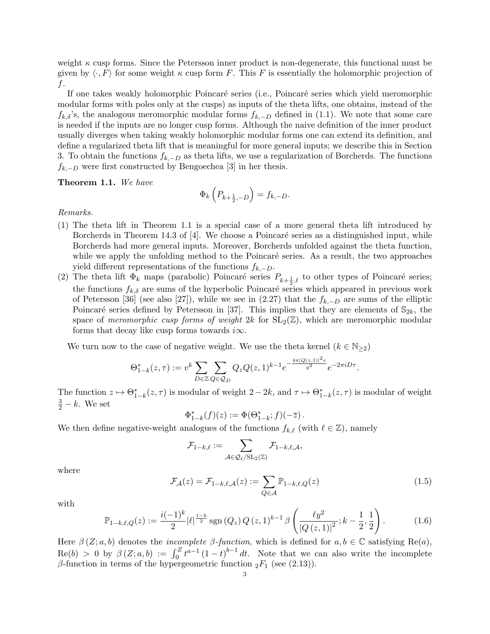weight  $\kappa$  cusp forms. Since the Petersson inner product is non-degenerate, this functional must be given by  $\langle \cdot, F \rangle$  for some weight  $\kappa$  cusp form F. This F is essentially the holomorphic projection of f.

If one takes weakly holomorphic Poincaré series (i.e., Poincaré series which yield meromorphic modular forms with poles only at the cusps) as inputs of the theta lifts, one obtains, instead of the  $f_{k,\delta}$ 's, the analogous meromorphic modular forms  $f_{k,-D}$  defined in (1.1). We note that some care is needed if the inputs are no longer cusp forms. Although the naive definition of the inner product usually diverges when taking weakly holomorphic modular forms one can extend its definition, and define a regularized theta lift that is meaningful for more general inputs; we describe this in Section 3. To obtain the functions  $f_{k,-D}$  as theta lifts, we use a regularization of Borcherds. The functions  $f_{k,-D}$  were first constructed by Bengoechea [3] in her thesis.

Theorem 1.1. We have

$$
\Phi_k\left(P_{k+\frac{1}{2},-D}\right) = f_{k,-D}.
$$

Remarks.

- (1) The theta lift in Theorem 1.1 is a special case of a more general theta lift introduced by Borcherds in Theorem 14.3 of  $[4]$ . We choose a Poincaré series as a distinguished input, while Borcherds had more general inputs. Moreover, Borcherds unfolded against the theta function, while we apply the unfolding method to the Poincaré series. As a result, the two approaches yield different representations of the functions  $f_{k,-D}$ .
- (2) The theta lift  $\Phi_k$  maps (parabolic) Poincaré series  $P_{k+\frac{1}{2},\ell}$  to other types of Poincaré series; the functions  $f_{k,\delta}$  are sums of the hyperbolic Poincaré series which appeared in previous work of Petersson [36] (see also [27]), while we see in (2.27) that the  $f_{k,-D}$  are sums of the elliptic Poincaré series defined by Petersson in [37]. This implies that they are elements of  $\mathbb{S}_{2k}$ , the space of meromorphic cusp forms of weight 2k for  $SL_2(\mathbb{Z})$ , which are meromorphic modular forms that decay like cusp forms towards  $i\infty$ .

We turn now to the case of negative weight. We use the theta kernel  $(k \in N_{\geq 2})$ 

$$
\Theta_{1-k}^*(z,\tau) := v^k \sum_{D \in \mathbb{Z}} \sum_{Q \in \mathcal{Q}_D} Q_z Q(z,1)^{k-1} e^{-\frac{4\pi |Q(z,1)|^2 v}{y^2}} e^{-2\pi i D\tau}.
$$

The function  $z \mapsto \Theta_{1-k}^*(z, \tau)$  is modular of weight  $2-2k$ , and  $\tau \mapsto \Theta_{1-k}^*(z, \tau)$  is modular of weight  $\frac{3}{2} - k$ . We set

$$
\Phi_{1-k}^*(f)(z) := \Phi(\Theta_{1-k}^*; f)(-\overline{z}).
$$

We then define negative-weight analogues of the functions  $f_{k,\ell}$  (with  $\ell \in \mathbb{Z}$ ), namely

$$
\mathcal{F}_{1-k,\ell}:=\sum_{\mathcal{A}\in\mathcal{Q}_\ell/\mathrm{SL}_2(\mathbb{Z})}\mathcal{F}_{1-k,\ell,\mathcal{A}},
$$

where

$$
\mathcal{F}_{\mathcal{A}}(z) = \mathcal{F}_{1-k,\ell,\mathcal{A}}(z) := \sum_{Q \in \mathcal{A}} \mathbb{P}_{1-k,\ell,Q}(z)
$$
\n(1.5)

with

$$
\mathbb{P}_{1-k,\ell,Q}(z) := \frac{i(-1)^k}{2} |\ell|^{\frac{1-k}{2}} \operatorname{sgn}(Q_z) Q(z,1)^{k-1} \beta \left( \frac{\ell y^2}{|Q(z,1)|^2}; k - \frac{1}{2}, \frac{1}{2} \right). \tag{1.6}
$$

Here  $\beta$  (Z; a, b) denotes the *incomplete*  $\beta$ -function, which is defined for  $a, b \in \mathbb{C}$  satisfying Re(a),  $\text{Re}(b) > 0$  by  $\beta(Z; a, b) := \int_0^Z t^{a-1} (1-t)^{b-1} dt$ . Note that we can also write the incomplete β-function in terms of the hypergeometric function  $_2F_1$  (see (2.13)).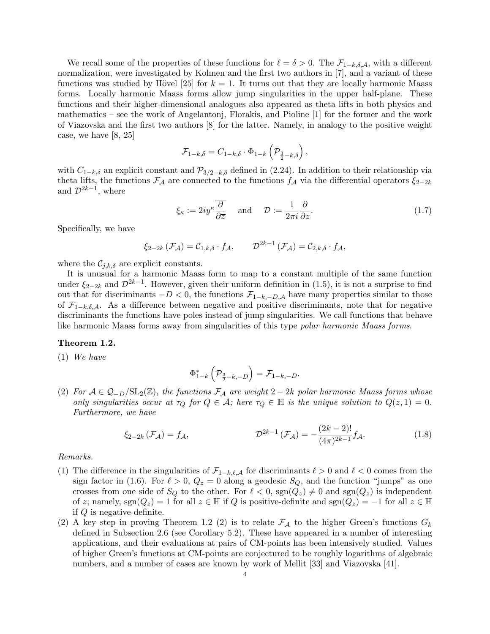We recall some of the properties of these functions for  $\ell = \delta > 0$ . The  $\mathcal{F}_{1-k,\delta,\mathcal{A}}$ , with a different normalization, were investigated by Kohnen and the first two authors in [7], and a variant of these functions was studied by Hövel [25] for  $k = 1$ . It turns out that they are locally harmonic Maass forms. Locally harmonic Maass forms allow jump singularities in the upper half-plane. These functions and their higher-dimensional analogues also appeared as theta lifts in both physics and mathematics – see the work of Angelantonj, Florakis, and Pioline [1] for the former and the work of Viazovska and the first two authors [8] for the latter. Namely, in analogy to the positive weight case, we have [8, 25]

$$
\mathcal{F}_{1-k,\delta} = C_{1-k,\delta} \cdot \Phi_{1-k} \left( \mathcal{P}_{\frac{3}{2}-k,\delta} \right),
$$

with  $C_{1-k,\delta}$  an explicit constant and  $\mathcal{P}_{3/2-k,\delta}$  defined in (2.24). In addition to their relationship via theta lifts, the functions  $\mathcal{F}_{\mathcal{A}}$  are connected to the functions  $f_{\mathcal{A}}$  via the differential operators  $\xi_{2-2k}$ and  $\mathcal{D}^{2k-1}$ , where

$$
\xi_{\kappa} := 2iy^{\kappa}\frac{\overline{\partial}}{\partial \overline{z}} \quad \text{and} \quad \mathcal{D} := \frac{1}{2\pi i}\frac{\partial}{\partial z}.
$$
 (1.7)

Specifically, we have

$$
\xi_{2-2k}(\mathcal{F}_{\mathcal{A}}) = \mathcal{C}_{1,k,\delta} \cdot f_{\mathcal{A}}, \qquad \mathcal{D}^{2k-1}(\mathcal{F}_{\mathcal{A}}) = \mathcal{C}_{2,k,\delta} \cdot f_{\mathcal{A}},
$$

where the  $\mathcal{C}_{j,k,\delta}$  are explicit constants.

It is unusual for a harmonic Maass form to map to a constant multiple of the same function under  $\xi_{2-2k}$  and  $\mathcal{D}^{2k-1}$ . However, given their uniform definition in (1.5), it is not a surprise to find out that for discriminants  $-D < 0$ , the functions  $\mathcal{F}_{1-k,-D,A}$  have many properties similar to those of  $\mathcal{F}_{1-k,\delta,\mathcal{A}}$ . As a difference between negative and positive discriminants, note that for negative discriminants the functions have poles instead of jump singularities. We call functions that behave like harmonic Maass forms away from singularities of this type polar harmonic Maass forms.

## Theorem 1.2.

(1) We have

$$
\Phi_{1-k}^*\left(\mathcal{P}_{\frac{3}{2}-k,-D}\right)=\mathcal{F}_{1-k,-D}.
$$

(2) For  $A \in \mathcal{Q}_{-D}/SL_2(\mathbb{Z})$ , the functions  $\mathcal{F}_A$  are weight  $2-2k$  polar harmonic Maass forms whose only singularities occur at  $\tau_Q$  for  $Q \in \mathcal{A}$ ; here  $\tau_Q \in \mathbb{H}$  is the unique solution to  $Q(z, 1) = 0$ . Furthermore, we have

$$
\xi_{2-2k}(\mathcal{F}_{\mathcal{A}}) = f_{\mathcal{A}}, \qquad \qquad \mathcal{D}^{2k-1}(\mathcal{F}_{\mathcal{A}}) = -\frac{(2k-2)!}{(4\pi)^{2k-1}} f_{\mathcal{A}}.
$$
 (1.8)

Remarks.

- (1) The difference in the singularities of  $\mathcal{F}_{1-k,\ell,\mathcal{A}}$  for discriminants  $\ell > 0$  and  $\ell < 0$  comes from the sign factor in (1.6). For  $\ell > 0$ ,  $Q_z = 0$  along a geodesic  $S_Q$ , and the function "jumps" as one crosses from one side of  $S_Q$  to the other. For  $\ell < 0$ ,  $sgn(Q_z) \neq 0$  and  $sgn(Q_z)$  is independent of z; namely, sgn( $Q_z$ ) = 1 for all  $z \in \mathbb{H}$  if Q is positive-definite and sgn( $Q_z$ ) = -1 for all  $z \in \mathbb{H}$ if Q is negative-definite.
- (2) A key step in proving Theorem 1.2 (2) is to relate  $\mathcal{F}_{\mathcal{A}}$  to the higher Green's functions  $G_k$ defined in Subsection 2.6 (see Corollary 5.2). These have appeared in a number of interesting applications, and their evaluations at pairs of CM-points has been intensively studied. Values of higher Green's functions at CM-points are conjectured to be roughly logarithms of algebraic numbers, and a number of cases are known by work of Mellit [33] and Viazovska [41].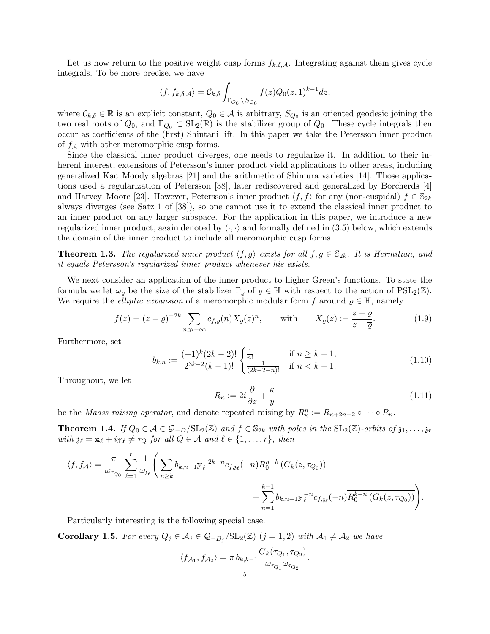Let us now return to the positive weight cusp forms  $f_{k,\delta,\mathcal{A}}$ . Integrating against them gives cycle integrals. To be more precise, we have

$$
\langle f, f_{k,\delta,\mathcal{A}} \rangle = \mathcal{C}_{k,\delta} \int_{\Gamma_{Q_0} \backslash S_{Q_0}} f(z) Q_0(z,1)^{k-1} dz,
$$

where  $\mathcal{C}_{k,\delta} \in \mathbb{R}$  is an explicit constant,  $Q_0 \in \mathcal{A}$  is arbitrary,  $S_{Q_0}$  is an oriented geodesic joining the two real roots of  $Q_0$ , and  $\Gamma_{Q_0} \subset SL_2(\mathbb{R})$  is the stabilizer group of  $Q_0$ . These cycle integrals then occur as coefficients of the (first) Shintani lift. In this paper we take the Petersson inner product of  $f_A$  with other meromorphic cusp forms.

Since the classical inner product diverges, one needs to regularize it. In addition to their inherent interest, extensions of Petersson's inner product yield applications to other areas, including generalized Kac–Moody algebras [21] and the arithmetic of Shimura varieties [14]. Those applications used a regularization of Petersson [38], later rediscovered and generalized by Borcherds [4] and Harvey–Moore [23]. However, Petersson's inner product  $\langle f, f \rangle$  for any (non-cuspidal)  $f \in \mathbb{S}_{2k}$ always diverges (see Satz 1 of [38]), so one cannot use it to extend the classical inner product to an inner product on any larger subspace. For the application in this paper, we introduce a new regularized inner product, again denoted by  $\langle \cdot, \cdot \rangle$  and formally defined in (3.5) below, which extends the domain of the inner product to include all meromorphic cusp forms.

**Theorem 1.3.** The regularized inner product  $\langle f, g \rangle$  exists for all  $f, g \in \mathbb{S}_{2k}$ . It is Hermitian, and it equals Petersson's regularized inner product whenever his exists.

We next consider an application of the inner product to higher Green's functions. To state the formula we let  $\omega_{\varrho}$  be the size of the stabilizer  $\Gamma_{\varrho}$  of  $\varrho \in \mathbb{H}$  with respect to the action of  $PSL_2(\mathbb{Z})$ . We require the *elliptic expansion* of a meromorphic modular form f around  $\rho \in \mathbb{H}$ , namely

$$
f(z) = (z - \overline{\varrho})^{-2k} \sum_{n \gg -\infty} c_{f,\varrho}(n) X_{\varrho}(z)^n, \quad \text{with} \quad X_{\varrho}(z) := \frac{z - \varrho}{z - \overline{\varrho}}.
$$
 (1.9)

Furthermore, set

$$
b_{k,n} := \frac{(-1)^k (2k-2)!}{2^{3k-2}(k-1)!} \begin{cases} \frac{1}{n!} & \text{if } n \ge k-1, \\ \frac{1}{(2k-2-n)!} & \text{if } n < k-1. \end{cases}
$$
(1.10)

Throughout, we let

$$
R_{\kappa} := 2i\frac{\partial}{\partial z} + \frac{\kappa}{y} \tag{1.11}
$$

be the *Maass raising operator*, and denote repeated raising by  $R_{\kappa}^n := R_{\kappa+2n-2} \circ \cdots \circ R_{\kappa}$ .

**Theorem 1.4.** If  $Q_0 \in \mathcal{A} \in \mathcal{Q}_{-D}/SL_2(\mathbb{Z})$  and  $f \in \mathbb{S}_{2k}$  with poles in the  $SL_2(\mathbb{Z})$ -orbits of  $\mathfrak{z}_1, \ldots, \mathfrak{z}_r$ with  $\mathfrak{z}_\ell = \mathfrak{x}_\ell + i\mathfrak{y}_\ell \neq \tau_Q$  for all  $Q \in \mathcal{A}$  and  $\ell \in \{1, \ldots, r\}$ , then

$$
\langle f, f_{\mathcal{A}} \rangle = \frac{\pi}{\omega_{\tau_{Q_0}}} \sum_{\ell=1}^r \frac{1}{\omega_{\mathfrak{z}_{\ell}}} \Bigg( \sum_{n \geq k} b_{k,n-1} y_{\ell}^{-2k+n} c_{f,\mathfrak{z}_{\ell}}(-n) R_0^{n-k} \left( G_k(z, \tau_{Q_0}) \right) + \sum_{n=1}^{k-1} b_{k,n-1} y_{\ell}^{-n} c_{f,\mathfrak{z}_{\ell}}(-n) \overline{R_0^{k-n} \left( G_k(z, \tau_{Q_0}) \right)} \Bigg).
$$

Particularly interesting is the following special case.

**Corollary 1.5.** For every  $Q_j \in \mathcal{A}_j \in \mathcal{Q}_{-D_j}/SL_2(\mathbb{Z})$   $(j = 1, 2)$  with  $\mathcal{A}_1 \neq \mathcal{A}_2$  we have

$$
\langle f_{\mathcal{A}_1}, f_{\mathcal{A}_2} \rangle = \pi b_{k,k-1} \frac{G_k(\tau_{Q_1}, \tau_{Q_2})}{\omega_{\tau_{Q_1}} \omega_{\tau_{Q_2}}}.
$$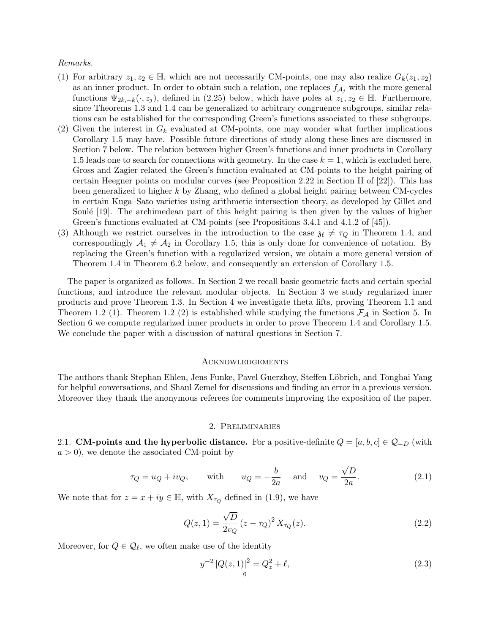### Remarks.

- (1) For arbitrary  $z_1, z_2 \in \mathbb{H}$ , which are not necessarily CM-points, one may also realize  $G_k(z_1, z_2)$ as an inner product. In order to obtain such a relation, one replaces  $f_{\mathcal{A}_i}$  with the more general functions  $\Psi_{2k,-k}(\cdot,z_j)$ , defined in (2.25) below, which have poles at  $z_1, z_2 \in \mathbb{H}$ . Furthermore, since Theorems 1.3 and 1.4 can be generalized to arbitrary congruence subgroups, similar relations can be established for the corresponding Green's functions associated to these subgroups.
- (2) Given the interest in  $G_k$  evaluated at CM-points, one may wonder what further implications Corollary 1.5 may have. Possible future directions of study along these lines are discussed in Section 7 below. The relation between higher Green's functions and inner products in Corollary 1.5 leads one to search for connections with geometry. In the case  $k = 1$ , which is excluded here, Gross and Zagier related the Green's function evaluated at CM-points to the height pairing of certain Heegner points on modular curves (see Proposition 2.22 in Section II of [22]). This has been generalized to higher k by Zhang, who defined a global height pairing between CM-cycles in certain Kuga–Sato varieties using arithmetic intersection theory, as developed by Gillet and Soulé [19]. The archimedean part of this height pairing is then given by the values of higher Green's functions evaluated at CM-points (see Propositions 3.4.1 and 4.1.2 of [45]).
- (3) Although we restrict ourselves in the introduction to the case  $\mathfrak{z}_{\ell} \neq \tau_Q$  in Theorem 1.4, and correspondingly  $A_1 \neq A_2$  in Corollary 1.5, this is only done for convenience of notation. By replacing the Green's function with a regularized version, we obtain a more general version of Theorem 1.4 in Theorem 6.2 below, and consequently an extension of Corollary 1.5.

The paper is organized as follows. In Section 2 we recall basic geometric facts and certain special functions, and introduce the relevant modular objects. In Section 3 we study regularized inner products and prove Theorem 1.3. In Section 4 we investigate theta lifts, proving Theorem 1.1 and Theorem 1.2 (1). Theorem 1.2 (2) is established while studying the functions  $\mathcal{F}_{\mathcal{A}}$  in Section 5. In Section 6 we compute regularized inner products in order to prove Theorem 1.4 and Corollary 1.5. We conclude the paper with a discussion of natural questions in Section 7.

## **ACKNOWLEDGEMENTS**

The authors thank Stephan Ehlen, Jens Funke, Pavel Guerzhoy, Steffen Löbrich, and Tonghai Yang for helpful conversations, and Shaul Zemel for discussions and finding an error in a previous version. Moreover they thank the anonymous referees for comments improving the exposition of the paper.

#### 2. Preliminaries

2.1. CM-points and the hyperbolic distance. For a positive-definite  $Q = [a, b, c] \in Q_{-D}$  (with  $a > 0$ , we denote the associated CM-point by

$$
\tau_Q = u_Q + iv_Q, \quad \text{with} \quad u_Q = -\frac{b}{2a} \quad \text{and} \quad v_Q = \frac{\sqrt{D}}{2a}.
$$
 (2.1)

We note that for  $z = x + iy \in \mathbb{H}$ , with  $X_{\tau_Q}$  defined in (1.9), we have

$$
Q(z,1) = \frac{\sqrt{D}}{2v_Q} (z - \overline{\tau_Q})^2 X_{\tau_Q}(z).
$$
 (2.2)

Moreover, for  $Q \in \mathcal{Q}_{\ell}$ , we often make use of the identity

$$
y^{-2} |Q(z, 1)|^2 = Q_z^2 + \ell,
$$
\n(2.3)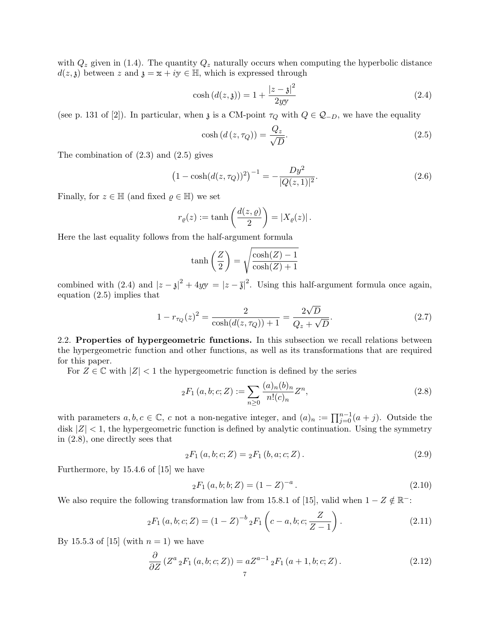with  $Q_z$  given in (1.4). The quantity  $Q_z$  naturally occurs when computing the hyperbolic distance  $d(z, \mathfrak{z})$  between z and  $\mathfrak{z} = x + iy \in \mathbb{H}$ , which is expressed through

$$
\cosh\left(d(z,\mathfrak{z})\right) = 1 + \frac{|z-\mathfrak{z}|^2}{2y} \tag{2.4}
$$

(see p. 131 of [2]). In particular, when  $\chi$  is a CM-point  $\tau_Q$  with  $Q \in \mathcal{Q}_{-D}$ , we have the equality

$$
\cosh\left(d\left(z,\tau_Q\right)\right) = \frac{Q_z}{\sqrt{D}}.\tag{2.5}
$$

The combination of (2.3) and (2.5) gives

$$
(1 - \cosh(d(z, \tau_Q))^2)^{-1} = -\frac{Dy^2}{|Q(z, 1)|^2}.
$$
\n(2.6)

Finally, for  $z \in \mathbb{H}$  (and fixed  $\rho \in \mathbb{H}$ ) we set

$$
r_{\varrho}(z) := \tanh\left(\frac{d(z,\varrho)}{2}\right) = |X_{\varrho}(z)|.
$$

Here the last equality follows from the half-argument formula

$$
\tanh\left(\frac{Z}{2}\right) = \sqrt{\frac{\cosh(Z) - 1}{\cosh(Z) + 1}}
$$

combined with (2.4) and  $|z - \mathfrak{z}|^2 + 4yy = |z - \overline{\mathfrak{z}}|^2$ . Using this half-argument formula once again, equation (2.5) implies that

$$
1 - r_{\tau_Q}(z)^2 = \frac{2}{\cosh(d(z, \tau_Q)) + 1} = \frac{2\sqrt{D}}{Q_z + \sqrt{D}}.
$$
\n(2.7)

2.2. Properties of hypergeometric functions. In this subsection we recall relations between the hypergeometric function and other functions, as well as its transformations that are required for this paper.

For  $Z \in \mathbb{C}$  with  $|Z| < 1$  the hypergeometric function is defined by the series

$$
{}_2F_1(a,b;c;Z) := \sum_{n\geq 0} \frac{(a)_n(b)_n}{n!(c)_n} Z^n,
$$
\n(2.8)

with parameters  $a, b, c \in \mathbb{C}$ , c not a non-negative integer, and  $(a)_n := \prod_{j=0}^{n-1} (a+j)$ . Outside the disk  $|Z|$  < 1, the hypergeometric function is defined by analytic continuation. Using the symmetry in (2.8), one directly sees that

$$
{}_2F_1(a, b; c; Z) = {}_2F_1(b, a; c; Z). \tag{2.9}
$$

Furthermore, by 15.4.6 of [15] we have

$$
{}_2F_1(a,b;b;Z) = (1-Z)^{-a}.
$$
\n(2.10)

We also require the following transformation law from 15.8.1 of [15], valid when  $1 - Z \notin \mathbb{R}^-$ :

$$
{}_2F_1(a,b;c;Z) = (1-Z)^{-b} {}_2F_1\left(c-a,b;c;\frac{Z}{Z-1}\right). \tag{2.11}
$$

By 15.5.3 of [15] (with  $n = 1$ ) we have

$$
\frac{\partial}{\partial Z} \left( Z^a \, _2F_1 \left( a, b; c; Z \right) \right) = a Z^{a-1} \, _2F_1 \left( a+1, b; c; Z \right). \tag{2.12}
$$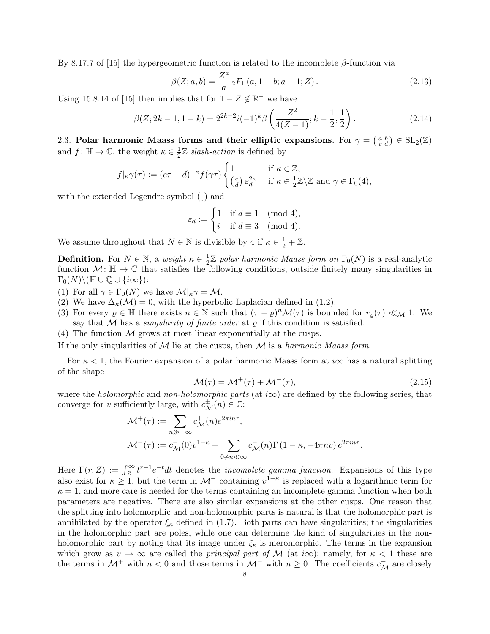By 8.17.7 of [15] the hypergeometric function is related to the incomplete  $\beta$ -function via

$$
\beta(Z;a,b) = \frac{Z^a}{a} {}_2F_1(a, 1-b; a+1; Z). \tag{2.13}
$$

Using 15.8.14 of [15] then implies that for  $1 - Z \notin \mathbb{R}^-$  we have

$$
\beta(Z; 2k-1, 1-k) = 2^{2k-2}i(-1)^k \beta\left(\frac{Z^2}{4(Z-1)}; k-\frac{1}{2}, \frac{1}{2}\right). \tag{2.14}
$$

2.3. Polar harmonic Maass forms and their elliptic expansions. For  $\gamma = \begin{pmatrix} a & b \\ c & d \end{pmatrix} \in SL_2(\mathbb{Z})$ and  $f: \mathbb{H} \to \mathbb{C}$ , the weight  $\kappa \in \frac{1}{2}$  $\frac{1}{2}\mathbb{Z}$  slash-action is defined by

$$
f|_{\kappa}\gamma(\tau) := (c\tau + d)^{-\kappa} f(\gamma \tau) \begin{cases} 1 & \text{if } \kappa \in \mathbb{Z}, \\ \left(\frac{c}{d}\right) \varepsilon_d^{2\kappa} & \text{if } \kappa \in \frac{1}{2}\mathbb{Z} \setminus \mathbb{Z} \text{ and } \gamma \in \Gamma_0(4), \end{cases}
$$

with the extended Legendre symbol  $(\frac{\cdot}{\cdot})$  and

$$
\varepsilon_d := \begin{cases} 1 & \text{if } d \equiv 1 \pmod{4}, \\ i & \text{if } d \equiv 3 \pmod{4}. \end{cases}
$$

We assume throughout that  $N \in \mathbb{N}$  is divisible by 4 if  $\kappa \in \frac{1}{2} + \mathbb{Z}$ .

**Definition.** For  $N \in \mathbb{N}$ , a weight  $\kappa \in \frac{1}{2}$  $\frac{1}{2}\mathbb{Z}$  polar harmonic Maass form on  $\Gamma_0(N)$  is a real-analytic function  $\mathcal{M}$ :  $\mathbb{H} \to \mathbb{C}$  that satisfies the following conditions, outside finitely many singularities in  $\Gamma_0(N)\backslash (\mathbb{H} \cup \mathbb{Q} \cup \{i\infty\})$ :

(1) For all  $\gamma \in \Gamma_0(N)$  we have  $\mathcal{M}|_{\kappa} \gamma = \mathcal{M}$ .

(2) We have  $\Delta_{\kappa}(\mathcal{M})=0$ , with the hyperbolic Laplacian defined in (1.2).

- (3) For every  $\varrho \in \mathbb{H}$  there exists  $n \in \mathbb{N}$  such that  $(\tau \varrho)^n \mathcal{M}(\tau)$  is bounded for  $r_\varrho(\tau) \ll_{\mathcal{M}} 1$ . We say that M has a *singularity of finite order* at  $\varrho$  if this condition is satisfied.
- (4) The function  $M$  grows at most linear exponentially at the cusps.

If the only singularities of  $M$  lie at the cusps, then  $M$  is a harmonic Maass form.

For  $\kappa$  < 1, the Fourier expansion of a polar harmonic Maass form at  $i\infty$  has a natural splitting of the shape

$$
\mathcal{M}(\tau) = \mathcal{M}^+(\tau) + \mathcal{M}^-(\tau),\tag{2.15}
$$

where the *holomorphic* and non-holomorphic parts (at  $i\infty$ ) are defined by the following series, that converge for v sufficiently large, with  $c_{\mathcal{M}}^{\pm}(n) \in \mathbb{C}$ :

$$
\mathcal{M}^+(\tau) := \sum_{n \gg -\infty} c_{\mathcal{M}}^+(n) e^{2\pi i n \tau},
$$
  

$$
\mathcal{M}^-(\tau) := c_{\mathcal{M}}^-(0) v^{1-\kappa} + \sum_{0 \neq n \ll \infty} c_{\mathcal{M}}^-(n) \Gamma(1-\kappa, -4\pi n v) e^{2\pi i n \tau}.
$$

Here  $\Gamma(r, Z) := \int_{Z}^{\infty} t^{r-1} e^{-t} dt$  denotes the *incomplete gamma function*. Expansions of this type also exist for  $\kappa \geq 1$ , but the term in  $\mathcal{M}^-$  containing  $v^{1-\kappa}$  is replaced with a logarithmic term for  $\kappa = 1$ , and more care is needed for the terms containing an incomplete gamma function when both parameters are negative. There are also similar expansions at the other cusps. One reason that the splitting into holomorphic and non-holomorphic parts is natural is that the holomorphic part is annihilated by the operator  $\xi_{\kappa}$  defined in (1.7). Both parts can have singularities; the singularities in the holomorphic part are poles, while one can determine the kind of singularities in the nonholomorphic part by noting that its image under  $\xi_{\kappa}$  is meromorphic. The terms in the expansion which grow as  $v \to \infty$  are called the *principal part of* M (at *i* $\infty$ ); namely, for  $\kappa < 1$  these are the terms in  $\mathcal{M}^+$  with  $n < 0$  and those terms in  $\mathcal{M}^-$  with  $n \geq 0$ . The coefficients  $c_{\mathcal{M}}^-$  are closely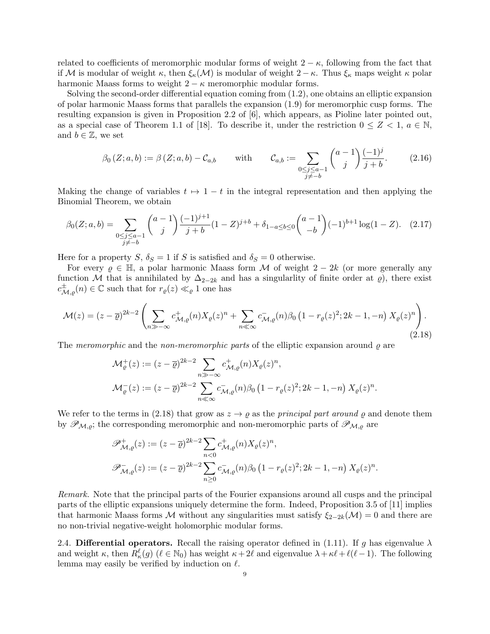related to coefficients of meromorphic modular forms of weight  $2 - \kappa$ , following from the fact that if M is modular of weight  $\kappa$ , then  $\xi_{\kappa}(\mathcal{M})$  is modular of weight  $2 - \kappa$ . Thus  $\xi_{\kappa}$  maps weight  $\kappa$  polar harmonic Maass forms to weight  $2 - \kappa$  meromorphic modular forms.

Solving the second-order differential equation coming from (1.2), one obtains an elliptic expansion of polar harmonic Maass forms that parallels the expansion (1.9) for meromorphic cusp forms. The resulting expansion is given in Proposition 2.2 of [6], which appears, as Pioline later pointed out, as a special case of Theorem 1.1 of [18]. To describe it, under the restriction  $0 \leq Z < 1$ ,  $a \in \mathbb{N}$ , and  $b \in \mathbb{Z}$ , we set

$$
\beta_0(Z; a, b) := \beta(Z; a, b) - C_{a,b} \quad \text{with} \quad C_{a,b} := \sum_{\substack{0 \le j \le a-1 \\ j \ne -b}} \binom{a-1}{j} \frac{(-1)^j}{j+b}.
$$
 (2.16)

Making the change of variables  $t \mapsto 1 - t$  in the integral representation and then applying the Binomial Theorem, we obtain

$$
\beta_0(Z;a,b) = \sum_{\substack{0 \le j \le a-1 \\ j \ne -b}} \binom{a-1}{j} \frac{(-1)^{j+1}}{j+b} (1-Z)^{j+b} + \delta_{1-a \le b \le 0} \binom{a-1}{-b} (-1)^{b+1} \log(1-Z). \tag{2.17}
$$

Here for a property S,  $\delta_S = 1$  if S is satisfied and  $\delta_S = 0$  otherwise.

For every  $\rho \in \mathbb{H}$ , a polar harmonic Maass form M of weight  $2 - 2k$  (or more generally any function M that is annihilated by  $\Delta_{2-2k}$  and has a singularlity of finite order at  $\varrho$ ), there exist  $c^{\pm}_{\mathcal{M},\varrho}(n) \in \mathbb{C}$  such that for  $r_{\varrho}(z) \ll_{\varrho} 1$  one has

$$
\mathcal{M}(z) = (z - \overline{\varrho})^{2k-2} \left( \sum_{n \gg -\infty} c_{\mathcal{M},\varrho}^+(n) X_{\varrho}(z)^n + \sum_{n \ll \infty} c_{\mathcal{M},\varrho}^-(n) \beta_0 \left( 1 - r_{\varrho}(z)^2; 2k - 1, -n \right) X_{\varrho}(z)^n \right). \tag{2.18}
$$

The meromorphic and the non-meromorphic parts of the elliptic expansion around  $\rho$  are

$$
\mathcal{M}_{\varrho}^{+}(z) := (z - \overline{\varrho})^{2k-2} \sum_{n \gg -\infty} c_{\mathcal{M},\varrho}^{+}(n) X_{\varrho}(z)^{n},
$$
  

$$
\mathcal{M}_{\varrho}^{-}(z) := (z - \overline{\varrho})^{2k-2} \sum_{n \ll \infty} c_{\mathcal{M},\varrho}^{-}(n) \beta_{0} \left(1 - r_{\varrho}(z)^{2}; 2k - 1, -n\right) X_{\varrho}(z)^{n}.
$$

We refer to the terms in (2.18) that grow as  $z \to \rho$  as the *principal part around*  $\rho$  and denote them by  $\mathscr{P}_{\mathcal{M},\rho}$ ; the corresponding meromorphic and non-meromorphic parts of  $\mathscr{P}_{\mathcal{M},\rho}$  are

$$
\mathscr{P}_{\mathcal{M},\varrho}^{+}(z) := (z - \overline{\varrho})^{2k-2} \sum_{n < 0} c_{\mathcal{M},\varrho}^{+}(n) X_{\varrho}(z)^n,
$$
\n
$$
\mathscr{P}_{\mathcal{M},\varrho}^{-}(z) := (z - \overline{\varrho})^{2k-2} \sum_{n \geq 0} c_{\mathcal{M},\varrho}^{-}(n) \beta_0 \left(1 - r_{\varrho}(z)^2; 2k - 1, -n\right) X_{\varrho}(z)^n.
$$

Remark. Note that the principal parts of the Fourier expansions around all cusps and the principal parts of the elliptic expansions uniquely determine the form. Indeed, Proposition 3.5 of [11] implies that harmonic Maass forms M without any singularities must satisfy  $\xi_{2-2k}(\mathcal{M}) = 0$  and there are no non-trivial negative-weight holomorphic modular forms.

2.4. Differential operators. Recall the raising operator defined in (1.11). If g has eigenvalue  $\lambda$ and weight  $\kappa$ , then  $R^{\ell}_{\kappa}(g)$  ( $\ell \in \mathbb{N}_0$ ) has weight  $\kappa + 2\ell$  and eigenvalue  $\lambda + \kappa\ell + \ell(\ell-1)$ . The following lemma may easily be verified by induction on  $\ell$ .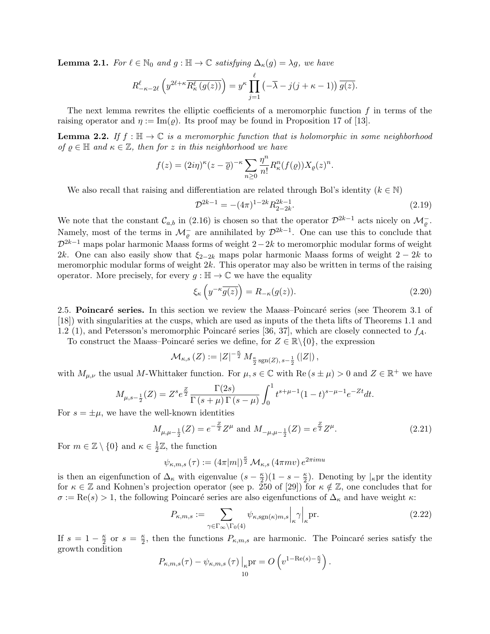**Lemma 2.1.** For  $\ell \in \mathbb{N}_0$  and  $g : \mathbb{H} \to \mathbb{C}$  satisfying  $\Delta_{\kappa}(g) = \lambda g$ , we have

$$
R_{-\kappa-2\ell}^{\ell} \left( y^{2\ell+\kappa} \overline{R_{\kappa}^{\ell} \left( g(z) \right)} \right) = y^{\kappa} \prod_{j=1}^{\ell} \left( -\overline{\lambda} - j(j+\kappa-1) \right) \overline{g(z)}.
$$

The next lemma rewrites the elliptic coefficients of a meromorphic function  $f$  in terms of the raising operator and  $\eta := \text{Im}(\rho)$ . Its proof may be found in Proposition 17 of [13].

**Lemma 2.2.** If  $f : \mathbb{H} \to \mathbb{C}$  is a meromorphic function that is holomorphic in some neighborhood of  $\rho \in \mathbb{H}$  and  $\kappa \in \mathbb{Z}$ , then for z in this neighborhood we have

$$
f(z) = (2i\eta)^{\kappa} (z - \overline{\varrho})^{-\kappa} \sum_{n\geq 0} \frac{\eta^n}{n!} R_{\kappa}^n(f(\varrho)) X_{\varrho}(z)^n.
$$

We also recall that raising and differentiation are related through Bol's identity ( $k \in \mathbb{N}$ )

$$
\mathcal{D}^{2k-1} = -(4\pi)^{1-2k} R_{2-2k}^{2k-1}.
$$
\n(2.19)

We note that the constant  $\mathcal{C}_{a,b}$  in (2.16) is chosen so that the operator  $\mathcal{D}^{2k-1}$  acts nicely on  $\mathcal{M}_{\varrho}^-$ . Namely, most of the terms in  $\mathcal{M}_{\varrho}^-$  are annihilated by  $\mathcal{D}^{2k-1}$ . One can use this to conclude that  $\mathcal{D}^{2k-1}$  maps polar harmonic Maass forms of weight  $2-2k$  to meromorphic modular forms of weight 2k. One can also easily show that  $\xi_{2-2k}$  maps polar harmonic Maass forms of weight  $2-2k$  to meromorphic modular forms of weight  $2k$ . This operator may also be written in terms of the raising operator. More precisely, for every  $g : \mathbb{H} \to \mathbb{C}$  we have the equality

$$
\xi_{\kappa}\left(y^{-\kappa}\overline{g(z)}\right) = R_{-\kappa}(g(z)).\tag{2.20}
$$

2.5. Poincaré series. In this section we review the Maass–Poincaré series (see Theorem 3.1 of [18]) with singularities at the cusps, which are used as inputs of the theta lifts of Theorems 1.1 and 1.2 (1), and Petersson's meromorphic Poincaré series [36, 37], which are closely connected to  $f<sub>A</sub>$ .

To construct the Maass–Poincaré series we define, for  $Z \in \mathbb{R} \setminus \{0\}$ , the expression

$$
\mathcal{M}_{\kappa,s}(Z) := |Z|^{-\frac{\kappa}{2}} M_{\frac{\kappa}{2} \operatorname{sgn}(Z), s-\frac{1}{2}}(|Z|),
$$

with  $M_{\mu,\nu}$  the usual M-Whittaker function. For  $\mu, s \in \mathbb{C}$  with  $\text{Re}(s \pm \mu) > 0$  and  $Z \in \mathbb{R}^+$  we have

$$
M_{\mu,s-\frac{1}{2}}(Z) = Z^s e^{\frac{Z}{2}} \frac{\Gamma(2s)}{\Gamma(s+\mu)\Gamma(s-\mu)} \int_0^1 t^{s+\mu-1} (1-t)^{s-\mu-1} e^{-Zt} dt.
$$

For  $s = \pm \mu$ , we have the well-known identities

$$
M_{\mu,\mu-\frac{1}{2}}(Z) = e^{-\frac{Z}{2}} Z^{\mu} \text{ and } M_{-\mu,\mu-\frac{1}{2}}(Z) = e^{\frac{Z}{2}} Z^{\mu}.
$$
 (2.21)

For  $m \in \mathbb{Z} \setminus \{0\}$  and  $\kappa \in \frac{1}{2}$  $\frac{1}{2}\mathbb{Z}$ , the function

$$
\psi_{\kappa,m,s}\left(\tau\right):=\left(4\pi|m|\right)^{\frac{\kappa}{2}}\mathcal{M}_{\kappa,s}\left(4\pi mv\right)e^{2\pi imu}
$$

is then an eigenfunction of  $\Delta_{\kappa}$  with eigenvalue  $(s-\frac{\kappa}{2})$  $\frac{\kappa}{2}$ ) $(1-s-\frac{\kappa}{2})$  $\frac{\kappa}{2}$ ). Denoting by  $\vert_{\kappa}$ pr the identity for  $\kappa \in \mathbb{Z}$  and Kohnen's projection operator (see p. 250 of [29]) for  $\kappa \notin \mathbb{Z}$ , one concludes that for  $\sigma := \text{Re}(s) > 1$ , the following Poincaré series are also eigenfunctions of  $\Delta_{\kappa}$  and have weight  $\kappa$ :

$$
P_{\kappa,m,s} := \sum_{\gamma \in \Gamma_{\infty} \backslash \Gamma_0(4)} \psi_{\kappa, \text{sgn}(\kappa)m,s} \Big|_{\kappa} \gamma \Big|_{\kappa} \text{pr.}
$$
 (2.22)

If  $s = 1 - \frac{\kappa}{2}$  $\frac{\kappa}{2}$  or  $s = \frac{\kappa}{2}$  $\frac{\kappa}{2}$ , then the functions  $P_{\kappa,m,s}$  are harmonic. The Poincaré series satisfy the growth condition

$$
P_{\kappa,m,s}(\tau) - \psi_{\kappa,m,s}(\tau) \Big|_{\kappa} \text{pr} = O\left(v^{1-\text{Re}(s)-\frac{\kappa}{2}}\right).
$$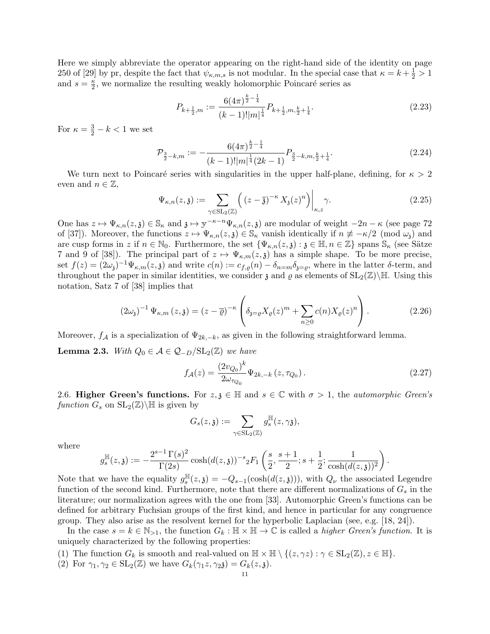Here we simply abbreviate the operator appearing on the right-hand side of the identity on page 250 of [29] by pr, despite the fact that  $\psi_{\kappa,m,s}$  is not modular. In the special case that  $\kappa = k + \frac{1}{2} > 1$ and  $s=\frac{\kappa}{2}$  $\frac{\kappa}{2}$ , we normalize the resulting weakly holomorphic Poincaré series as

$$
P_{k+\frac{1}{2},m} := \frac{6(4\pi)^{\frac{k}{2}-\frac{1}{4}}}{(k-1)!|m|^{\frac{1}{4}}} P_{k+\frac{1}{2},m,\frac{k}{2}+\frac{1}{4}}.
$$
\n(2.23)

For  $\kappa = \frac{3}{2} - k < 1$  we set

$$
\mathcal{P}_{\frac{3}{2}-k,m} := -\frac{6(4\pi)^{\frac{k}{2}-\frac{1}{4}}}{(k-1)!|m|^{\frac{1}{4}}(2k-1)} P_{\frac{3}{2}-k,m,\frac{k}{2}+\frac{1}{4}}.
$$
\n(2.24)

We turn next to Poincaré series with singularities in the upper half-plane, defining, for  $\kappa > 2$ even and  $n \in \mathbb{Z}$ ,

$$
\Psi_{\kappa,n}(z,\mathfrak{z}) := \sum_{\gamma \in \mathrm{SL}_2(\mathbb{Z})} \left( (z-\overline{\mathfrak{z}})^{-\kappa} X_{\mathfrak{z}}(z)^n \right) \Big|_{\kappa,z} \gamma.
$$
\n(2.25)

One has  $z \mapsto \Psi_{\kappa,n}(z,\mathfrak{z}) \in \mathbb{S}_{\kappa}$  and  $\mathfrak{z} \mapsto y^{-\kappa-n}\Psi_{\kappa,n}(z,\mathfrak{z})$  are modular of weight  $-2n - \kappa$  (see page 72) of [37]). Moreover, the functions  $z \mapsto \Psi_{\kappa,n}(z,\mathfrak{z}) \in \mathbb{S}_{\kappa}$  vanish identically if  $n \not\equiv -\kappa/2 \pmod{\omega_{\mathfrak{z}}}$  and are cusp forms in z if  $n \in \mathbb{N}_0$ . Furthermore, the set  $\{\Psi_{\kappa,n}(z,\mathfrak{z}) : \mathfrak{z} \in \mathbb{H}, n \in \mathbb{Z}\}$  spans  $\mathbb{S}_{\kappa}$  (see Sätze 7 and 9 of [38]). The principal part of  $z \mapsto \Psi_{\kappa,m}(z,\mathfrak{z})$  has a simple shape. To be more precise, set  $f(z) = (2\omega_{\mathfrak{z}})^{-1} \Psi_{\kappa,m}(z,\mathfrak{z})$  and write  $c(n) := c_{f,\varrho}(n) - \delta_{n=m} \delta_{\mathfrak{z}=\varrho}$ , where in the latter  $\delta$ -term, and throughout the paper in similar identities, we consider  $\mathfrak z$  and  $\varrho$  as elements of  $SL_2(\mathbb Z)\backslash\mathbb H$ . Using this notation, Satz 7 of [38] implies that

$$
(2\omega_{\mathfrak{z}})^{-1} \Psi_{\kappa,m}(z,\mathfrak{z}) = (z-\overline{\varrho})^{-\kappa} \left( \delta_{\mathfrak{z}=\varrho} X_{\varrho}(z)^m + \sum_{n\geq 0} c(n) X_{\varrho}(z)^n \right). \tag{2.26}
$$

Moreover,  $f_A$  is a specialization of  $\Psi_{2k,-k}$ , as given in the following straightforward lemma.

**Lemma 2.3.** With  $Q_0 \in \mathcal{A} \in \mathcal{Q}_{-D}/SL_2(\mathbb{Z})$  we have

$$
f_{\mathcal{A}}(z) = \frac{(2v_{Q_0})^k}{2\omega_{\tau_{Q_0}}} \Psi_{2k, -k}(z, \tau_{Q_0}).
$$
\n(2.27)

2.6. Higher Green's functions. For  $z, \zeta \in \mathbb{H}$  and  $s \in \mathbb{C}$  with  $\sigma > 1$ , the *automorphic Green's* function  $G_s$  on  $SL_2(\mathbb{Z})\backslash\mathbb{H}$  is given by

$$
G_s(z,{\mathfrak z}):=\sum_{\gamma\in\operatorname{SL}_2({\mathbb Z})}g_s^{\mathbb H}(z,\gamma{\mathfrak z}),
$$

where

$$
g_s^{\mathbb{H}}(z,\mathfrak{z}):=-\frac{2^{s-1}\,\Gamma(s)^2}{\Gamma(2s)}\cosh(d(z,\mathfrak{z}))^{-s}{}_2F_1\left(\frac{s}{2},\frac{s+1}{2};s+\frac{1}{2};\frac{1}{\cosh(d(z,\mathfrak{z}))^2}\right).
$$

Note that we have the equality  $g_s^{\mathbb{H}}$  $s_{s}^{H}(z,\mathfrak{z}) = -Q_{s-1}(\cosh(d(z,\mathfrak{z}))),$  with  $Q_{\nu}$  the associated Legendre function of the second kind. Furthermore, note that there are different normalizations of  $G_s$  in the literature; our normalization agrees with the one from [33]. Automorphic Green's functions can be defined for arbitrary Fuchsian groups of the first kind, and hence in particular for any congruence group. They also arise as the resolvent kernel for the hyperbolic Laplacian (see, e.g. [18, 24]).

In the case  $s = k \in \mathbb{N}_{>1}$ , the function  $G_k : \mathbb{H} \times \mathbb{H} \to \mathbb{C}$  is called a *higher Green's function*. It is uniquely characterized by the following properties:

(1) The function  $G_k$  is smooth and real-valued on  $\mathbb{H} \times \mathbb{H} \setminus \{(z, \gamma z) : \gamma \in SL_2(\mathbb{Z}), z \in \mathbb{H}\}.$ 

(2) For 
$$
\gamma_1, \gamma_2 \in SL_2(\mathbb{Z})
$$
 we have  $G_k(\gamma_1 z, \gamma_2 z) = G_k(z, z)$ .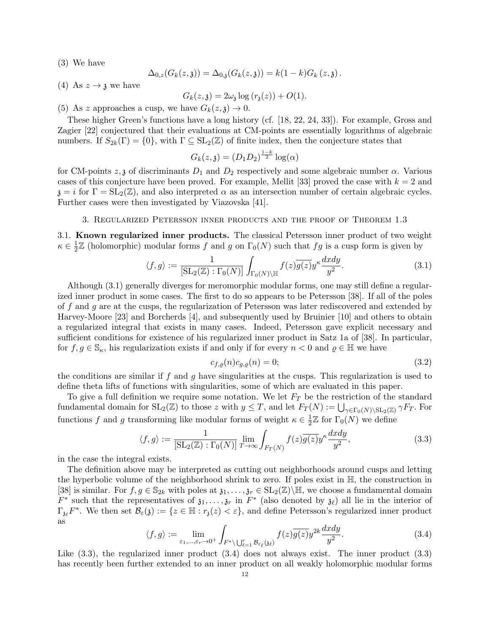(3) We have

$$
\Delta_{0,z}(G_k(z,\mathfrak{z})) = \Delta_{0,\mathfrak{z}}(G_k(z,\mathfrak{z})) = k(1-k)G_k(z,\mathfrak{z})\,.
$$

(4) As  $z \rightarrow \mathfrak{z}$  we have

$$
G_k(z, \mathfrak{z}) = 2\omega_{\mathfrak{z}} \log (r_{\mathfrak{z}}(z)) + O(1).
$$

(5) As z approaches a cusp, we have  $G_k(z, \mathfrak{z}) \to 0$ .

These higher Green's functions have a long history (cf. [18, 22, 24, 33]). For example, Gross and Zagier [22] conjectured that their evaluations at CM-points are essentially logarithms of algebraic numbers. If  $S_{2k}(\Gamma) = \{0\}$ , with  $\Gamma \subseteq SL_2(\mathbb{Z})$  of finite index, then the conjecture states that

$$
G_k(z, \mathfrak{z}) = (D_1 D_2)^{\frac{1-k}{2}} \log(\alpha)
$$

for CM-points  $z, \mathfrak{z}$  of discriminants  $D_1$  and  $D_2$  respectively and some algebraic number  $\alpha$ . Various cases of this conjecture have been proved. For example, Mellit [33] proved the case with  $k = 2$  and  $\mathfrak{z} = i$  for  $\Gamma = SL_2(\mathbb{Z})$ , and also interpreted  $\alpha$  as an intersection number of certain algebraic cycles. Further cases were then investigated by Viazovska [41].

## 3. Regularized Petersson inner products and the proof of Theorem 1.3

3.1. Known regularized inner products. The classical Petersson inner product of two weight  $\kappa \in \frac{1}{2}$  $\frac{1}{2}\mathbb{Z}$  (holomorphic) modular forms f and g on  $\Gamma_0(N)$  such that fg is a cusp form is given by

$$
\langle f, g \rangle := \frac{1}{\left[\operatorname{SL}_2(\mathbb{Z}) : \Gamma_0(N)\right]} \int_{\Gamma_0(N) \backslash \mathbb{H}} f(z) \overline{g(z)} y^{\kappa} \frac{dxdy}{y^2}.
$$
 (3.1)

Although (3.1) generally diverges for meromorphic modular forms, one may still define a regularized inner product in some cases. The first to do so appears to be Petersson [38]. If all of the poles of f and g are at the cusps, the regularization of Petersson was later rediscovered and extended by Harvey-Moore [23] and Borcherds [4], and subsequently used by Bruinier [10] and others to obtain a regularized integral that exists in many cases. Indeed, Petersson gave explicit necessary and sufficient conditions for existence of his regularized inner product in Satz 1a of [38]. In particular, for  $f, g \in \mathbb{S}_{\kappa}$ , his regularization exists if and only if for every  $n < 0$  and  $\varrho \in \mathbb{H}$  we have

$$
c_{f,\varrho}(n)c_{g,\varrho}(n) = 0;\tag{3.2}
$$

the conditions are similar if f and q have singularities at the cusps. This regularization is used to define theta lifts of functions with singularities, some of which are evaluated in this paper.

To give a full definition we require some notation. We let  $F<sub>T</sub>$  be the restriction of the standard fundamental domain for  $SL_2(\mathbb{Z})$  to those z with  $y \leq T$ , and let  $F_T(N) := \bigcup_{\gamma \in \Gamma_0(N) \backslash SL_2(\mathbb{Z})} \gamma F_T$ . For functions f and g transforming like modular forms of weight  $\kappa \in \frac{1}{2}$  $\frac{1}{2}\mathbb{Z}$  for  $\Gamma_0(N)$  we define

$$
\langle f, g \rangle := \frac{1}{\left[\operatorname{SL}_2(\mathbb{Z}) : \Gamma_0(N)\right]} \lim_{T \to \infty} \int_{F_T(N)} f(z) \overline{g(z)} y^{\kappa} \frac{dxdy}{y^2},\tag{3.3}
$$

in the case the integral exists.

The definition above may be interpreted as cutting out neighborhoods around cusps and letting the hyperbolic volume of the neighborhood shrink to zero. If poles exist in H, the construction in [38] is similar. For  $f, g \in \mathbb{S}_{2k}$  with poles at  $\mathfrak{z}_1, \ldots, \mathfrak{z}_r \in SL_2(\mathbb{Z})\backslash \mathbb{H}$ , we choose a fundamental domain  $F^*$  such that the representatives of  $\mathfrak{z}_1,\ldots,\mathfrak{z}_r$  in  $F^*$  (also denoted by  $\mathfrak{z}_\ell$ ) all lie in the interior of  $\Gamma_{\mathfrak{z}_{\ell}}F^*$ . We then set  $\mathcal{B}_{\varepsilon}(\mathfrak{z}) := \{z \in \mathbb{H} : r_{\mathfrak{z}}(z) < \varepsilon\}$ , and define Petersson's regularized inner product as

$$
\langle f, g \rangle := \lim_{\varepsilon_1, \dots, \varepsilon_r \to 0^+} \int_{F^* \setminus \bigcup_{\ell=1}^r \mathcal{B}_{\varepsilon_\ell}(\mathfrak{z}_\ell)} f(z) \overline{g(z)} y^{2k} \frac{dxdy}{y^2}.
$$
 (3.4)

Like  $(3.3)$ , the regularized inner product  $(3.4)$  does not always exist. The inner product  $(3.3)$ has recently been further extended to an inner product on all weakly holomorphic modular forms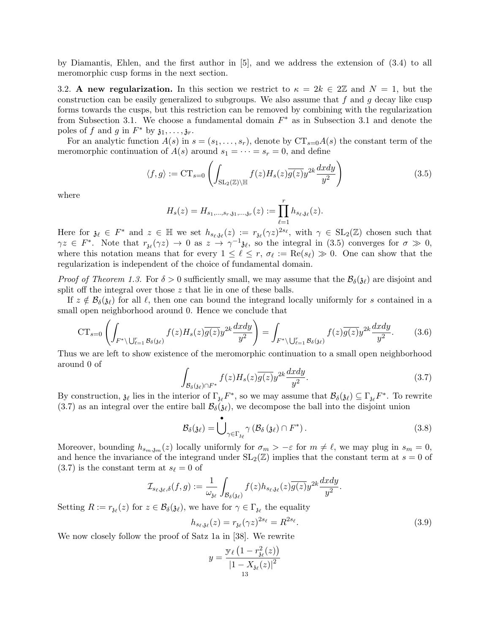by Diamantis, Ehlen, and the first author in [5], and we address the extension of (3.4) to all meromorphic cusp forms in the next section.

3.2. A new regularization. In this section we restrict to  $\kappa = 2k \in 2\mathbb{Z}$  and  $N = 1$ , but the construction can be easily generalized to subgroups. We also assume that  $f$  and  $g$  decay like cusp forms towards the cusps, but this restriction can be removed by combining with the regularization from Subsection 3.1. We choose a fundamental domain  $F^*$  as in Subsection 3.1 and denote the poles of f and g in  $F^*$  by  $\mathfrak{z}_1, \ldots, \mathfrak{z}_r$ .

For an analytic function  $A(s)$  in  $s = (s_1, \ldots, s_r)$ , denote by  $CT_{s=0}A(s)$  the constant term of the meromorphic continuation of  $A(s)$  around  $s_1 = \cdots = s_r = 0$ , and define

$$
\langle f, g \rangle := \mathrm{CT}_{s=0} \left( \int_{\mathrm{SL}_2(\mathbb{Z}) \backslash \mathbb{H}} f(z) H_s(z) \overline{g(z)} y^{2k} \frac{dxdy}{y^2} \right) \tag{3.5}
$$

where

$$
H_s(z) = H_{s_1,\ldots,s_r,\mathfrak{z}_1,\ldots,\mathfrak{z}_r}(z) := \prod_{\ell=1}^r h_{s_\ell,\mathfrak{z}_\ell}(z).
$$

Here for  $\mathfrak{z}_\ell \in F^*$  and  $z \in \mathbb{H}$  we set  $h_{s_\ell,\mathfrak{z}_\ell}(z) := r_{\mathfrak{z}_\ell}(\gamma z)^{2s_\ell}$ , with  $\gamma \in SL_2(\mathbb{Z})$  chosen such that  $\gamma z \in F^*$ . Note that  $r_{\mathfrak{z}_{\ell}}(\gamma z) \to 0$  as  $z \to \gamma^{-1} \mathfrak{z}_{\ell}$ , so the integral in (3.5) converges for  $\sigma \gg 0$ , where this notation means that for every  $1 \leq \ell \leq r$ ,  $\sigma_{\ell} := \text{Re}(s_{\ell}) \gg 0$ . One can show that the regularization is independent of the choice of fundamental domain.

*Proof of Theorem 1.3.* For  $\delta > 0$  sufficiently small, we may assume that the  $\mathcal{B}_{\delta}(\mathfrak{z}_{\ell})$  are disjoint and split off the integral over those z that lie in one of these balls.

If  $z \notin \mathcal{B}_{\delta}(\mathfrak{z}_{\ell})$  for all  $\ell$ , then one can bound the integrand locally uniformly for s contained in a small open neighborhood around 0. Hence we conclude that

$$
CT_{s=0}\left(\int_{F^*\backslash\bigcup_{\ell=1}^r\mathcal{B}_{\delta}(y_{\ell})}f(z)H_s(z)\overline{g(z)}y^{2k}\frac{dxdy}{y^2}\right)=\int_{F^*\backslash\bigcup_{\ell=1}^r\mathcal{B}_{\delta}(y_{\ell})}f(z)\overline{g(z)}y^{2k}\frac{dxdy}{y^2}.
$$
 (3.6)

Thus we are left to show existence of the meromorphic continuation to a small open neighborhood around 0 of

$$
\int_{\mathcal{B}_{\delta}(3\varepsilon)\cap F^*} f(z)H_s(z)\overline{g(z)}y^{2k}\frac{dxdy}{y^2}.
$$
\n(3.7)

By construction,  $\mathfrak{z}_{\ell}$  lies in the interior of  $\Gamma_{\mathfrak{z}_{\ell}}F^*$ , so we may assume that  $\mathcal{B}_{\delta}(\mathfrak{z}_{\ell}) \subseteq \Gamma_{\mathfrak{z}_{\ell}}F^*$ . To rewrite (3.7) as an integral over the entire ball  $\mathcal{B}_{\delta}(\mathfrak{z}_{\ell})$ , we decompose the ball into the disjoint union

$$
\mathcal{B}_{\delta}(\mathfrak{z}_{\ell}) = \bigcup_{\gamma \in \Gamma_{\mathfrak{z}_{\ell}}} \gamma \left( \mathcal{B}_{\delta}(\mathfrak{z}_{\ell}) \cap F^* \right).
$$
 (3.8)

Moreover, bounding  $h_{s_m,j_m}(z)$  locally uniformly for  $\sigma_m > -\varepsilon$  for  $m \neq \ell$ , we may plug in  $s_m = 0$ , and hence the invariance of the integrand under  $SL_2(\mathbb{Z})$  implies that the constant term at  $s = 0$  of  $(3.7)$  is the constant term at  $s_\ell = 0$  of

$$
\mathcal{I}_{s_{\ell},\mathfrak{z}_{\ell},\delta}(f,g):=\frac{1}{\omega_{\mathfrak{z}_{\ell}}}\int_{\mathcal{B}_{\delta}(\mathfrak{z}_{\ell})}f(z)h_{s_{\ell},\mathfrak{z}_{\ell}}(z)\overline{g(z)}y^{2k}\frac{dxdy}{y^2}.
$$

Setting  $R := r_{\mathfrak{z}_{\ell}}(z)$  for  $z \in \mathcal{B}_{\delta}(\mathfrak{z}_{\ell}),$  we have for  $\gamma \in \Gamma_{\mathfrak{z}_{\ell}}$  the equality

$$
h_{s_{\ell},\mathfrak{z}_{\ell}}(z) = r_{\mathfrak{z}_{\ell}}(\gamma z)^{2s_{\ell}} = R^{2s_{\ell}}.
$$
\n(3.9)

We now closely follow the proof of Satz 1a in [38]. We rewrite

$$
y = \frac{\mathbb{y}_{\ell} (1 - r_{\mathfrak{z}_{\ell}}^2(z))}{|1 - X_{\mathfrak{z}_{\ell}}(z)|^2}
$$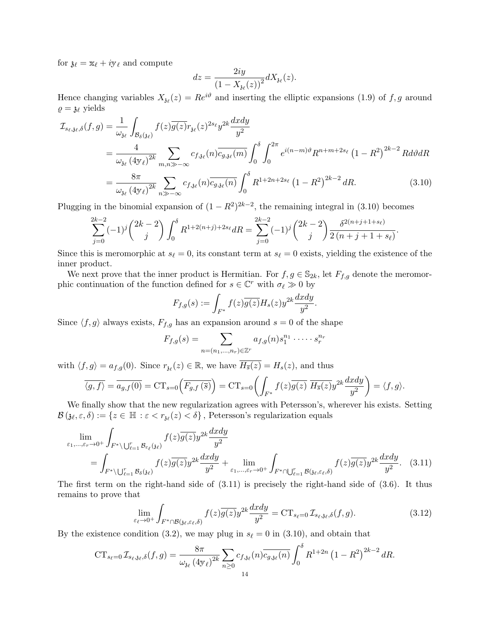for  $\mathfrak{z}_\ell = \mathfrak{x}_\ell + i\mathfrak{y}_\ell$  and compute

$$
dz = \frac{2iy}{\left(1 - X_{\mathfrak{z}_{\ell}}(z)\right)^2} dX_{\mathfrak{z}_{\ell}}(z).
$$

Hence changing variables  $X_{\hat{\mathfrak{z}}\ell}(z) = Re^{i\vartheta}$  and inserting the elliptic expansions (1.9) of f, g around  $\rho = \mathfrak{z}_\ell$  yields

$$
\mathcal{I}_{s_{\ell},\mathfrak{z}_{\ell},\delta}(f,g) = \frac{1}{\omega_{\mathfrak{z}_{\ell}}} \int_{\mathcal{B}_{\delta}(\mathfrak{z}_{\ell})} f(z) \overline{g(z)} r_{\mathfrak{z}_{\ell}}(z)^{2s_{\ell}} y^{2k} \frac{dxdy}{y^2}
$$
\n
$$
= \frac{4}{\omega_{\mathfrak{z}_{\ell}}} \sum_{(4y_{\ell})^{2k}} \sum_{m,n \gg -\infty} c_{f,\mathfrak{z}_{\ell}}(n) \overline{c_{g,\mathfrak{z}_{\ell}}(m)} \int_{0}^{\delta} \int_{0}^{2\pi} e^{i(n-m)\vartheta} R^{n+m+2s_{\ell}} (1 - R^2)^{2k-2} R d\vartheta dR
$$
\n
$$
= \frac{8\pi}{\omega_{\mathfrak{z}_{\ell}}} \sum_{(4y_{\ell})^{2k}} \sum_{n \gg -\infty} c_{f,\mathfrak{z}_{\ell}}(n) \overline{c_{g,\mathfrak{z}_{\ell}}(n)} \int_{0}^{\delta} R^{1+2n+2s_{\ell}} (1 - R^2)^{2k-2} dR. \tag{3.10}
$$

Plugging in the binomial expansion of  $(1 - R^2)^{2k-2}$ , the remaining integral in (3.10) becomes

$$
\sum_{j=0}^{2k-2} (-1)^j \binom{2k-2}{j} \int_0^\delta R^{1+2(n+j)+2s_\ell} dR = \sum_{j=0}^{2k-2} (-1)^j \binom{2k-2}{j} \frac{\delta^{2(n+j+1+s_\ell)}}{2(n+j+1+s_\ell)}.
$$

Since this is meromorphic at  $s_\ell = 0$ , its constant term at  $s_\ell = 0$  exists, yielding the existence of the inner product.

We next prove that the inner product is Hermitian. For  $f, g \in \mathbb{S}_{2k}$ , let  $F_{f,g}$  denote the meromorphic continuation of the function defined for  $s \in \mathbb{C}^r$  with  $\sigma_\ell \gg 0$  by

$$
F_{f,g}(s) := \int_{F^*} f(z)\overline{g(z)}H_s(z)y^{2k}\frac{dxdy}{y^2}.
$$

Since  $\langle f, g \rangle$  always exists,  $F_{f,q}$  has an expansion around  $s = 0$  of the shape

$$
F_{f,g}(s) = \sum_{n=(n_1,\ldots,n_r)\in\mathbb{Z}^r} a_{f,g}(n) s_1^{n_1}\cdot\cdots\cdot s_r^{n_r}
$$

with  $\langle f, g \rangle = a_{f,g}(0)$ . Since  $r_{\mathfrak{z}_{\ell}}(z) \in \mathbb{R}$ , we have  $\overline{H_{\overline{s}}(z)} = H_s(z)$ , and thus

$$
\overline{\langle g, f \rangle} = \overline{a_{g,f}(0)} = \text{CT}_{s=0} \left( \overline{F_{g,f}(\overline{s})} \right) = \text{CT}_{s=0} \left( \int_{F^*} f(z) \overline{g(z)} \ \overline{H_{\overline{s}}(z)} y^{2k} \frac{dxdy}{y^2} \right) = \langle f, g \rangle.
$$

We finally show that the new regularization agrees with Petersson's, wherever his exists. Setting  $\mathcal{B}(3\ell, \varepsilon, \delta) := \{z \in \mathbb{H} : \varepsilon < r_{3\ell}(z) < \delta\},$  Petersson's regularization equals

$$
\lim_{\varepsilon_1,\dots,\varepsilon_r \to 0^+} \int_{F^* \setminus \bigcup_{\ell=1}^r B_{\varepsilon_\ell}(\mathfrak{z}_\ell)} f(z) \overline{g(z)} y^{2k} \frac{dxdy}{y^2}
$$
\n
$$
= \int_{F^* \setminus \bigcup_{\ell=1}^r B_{\delta}(\mathfrak{z}_\ell)} f(z) \overline{g(z)} y^{2k} \frac{dxdy}{y^2} + \lim_{\varepsilon_1,\dots,\varepsilon_r \to 0^+} \int_{F^* \cap \bigcup_{\ell=1}^r B(\mathfrak{z}_\ell, \varepsilon_\ell, \delta)} f(z) \overline{g(z)} y^{2k} \frac{dxdy}{y^2}.
$$
\n(3.11)

The first term on the right-hand side of (3.11) is precisely the right-hand side of (3.6). It thus remains to prove that

$$
\lim_{\varepsilon_{\ell}\to 0^+} \int_{F^*\cap \mathcal{B}(\mathfrak{z}_{\ell},\varepsilon_{\ell},\delta)} f(z)\overline{g(z)} y^{2k} \frac{dxdy}{y^2} = \mathrm{CT}_{s_{\ell}=0} \mathcal{I}_{s_{\ell},\mathfrak{z}_{\ell},\delta}(f,g). \tag{3.12}
$$

By the existence condition (3.2), we may plug in  $s_\ell = 0$  in (3.10), and obtain that

$$
CT_{s_{\ell}=0} \mathcal{I}_{s_{\ell},\mathfrak{z}_{\ell},\delta}(f,g) = \frac{8\pi}{\omega_{\mathfrak{z}_{\ell}} (4\mathfrak{y}_{\ell})^{2k}} \sum_{n\geq 0} c_{f,\mathfrak{z}_{\ell}}(n) \overline{c_{g,\mathfrak{z}_{\ell}}(n)} \int_{0}^{\delta} R^{1+2n} (1-R^{2})^{2k-2} dR.
$$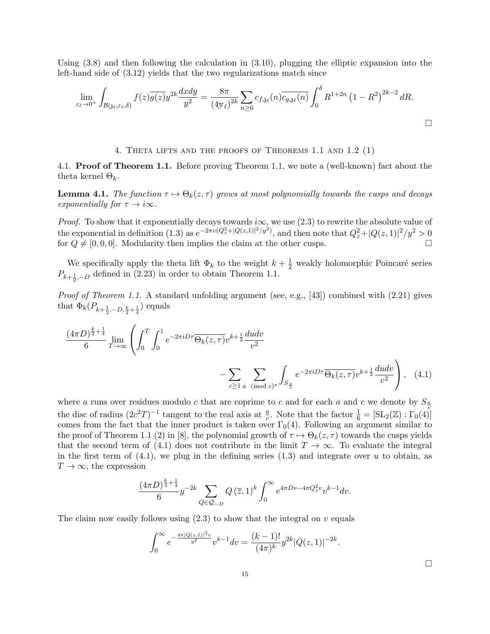Using  $(3.8)$  and then following the calculation in  $(3.10)$ , plugging the elliptic expansion into the left-hand side of (3.12) yields that the two regularizations match since

$$
\lim_{\varepsilon_{\ell}\to 0^+} \int_{\mathcal{B}(\mathfrak{z}_{\ell},\varepsilon_{\ell},\delta)} f(z) \overline{g(z)} y^{2k} \frac{dxdy}{y^2} = \frac{8\pi}{(4\pi)^{2k}} \sum_{n\geq 0} c_{f,\mathfrak{z}_{\ell}}(n) \overline{c_{g,\mathfrak{z}_{\ell}}(n)} \int_0^{\delta} R^{1+2n} (1-R^2)^{2k-2} dR.
$$

4. Theta lifts and the proofs of Theorems 1.1 and 1.2 (1)

4.1. Proof of Theorem 1.1. Before proving Theorem 1.1, we note a (well-known) fact about the theta kernel  $\Theta_k$ .

**Lemma 4.1.** The function  $\tau \mapsto \Theta_k(z, \tau)$  grows at most polynomially towards the cusps and decays exponentially for  $\tau \to i\infty$ .

*Proof.* To show that it exponentially decays towards  $i\infty$ , we use (2.3) to rewrite the absolute value of the exponential in definition (1.3) as  $e^{-2\pi v(Q_z^2+|Q(z,1)|^2/y^2)}$ , and then note that  $Q_z^2+|Q(z,1)|^2/y^2>0$ for  $Q \neq [0, 0, 0]$ . Modularity then implies the claim at the other cusps.

We specifically apply the theta lift  $\Phi_k$  to the weight  $k + \frac{1}{2}$  weakly holomorphic Poincaré series  $P_{k+\frac{1}{2},-D}$  defined in (2.23) in order to obtain Theorem 1.1.

Proof of Theorem 1.1. A standard unfolding argument (see, e.g., [43]) combined with (2.21) gives that  $\Phi_k(P_{k+\frac{1}{2},-D,\frac{k}{2}+\frac{1}{4}})$  equals

$$
\frac{(4\pi D)^{\frac{k}{2}+\frac{1}{4}}}{6} \lim_{T \to \infty} \left( \int_0^T \int_0^1 e^{-2\pi i D\tau} \overline{\Theta_k(z,\tau)} v^{k+\frac{1}{2}} \frac{du dv}{v^2} - \sum_{c \ge 1} \sum_{a \pmod{c}^*} \int_{S_{\frac{a}{c}}} e^{-2\pi i D\tau} \overline{\Theta_k(z,\tau)} v^{k+\frac{1}{2}} \frac{du dv}{v^2} \right), \quad (4.1)
$$

where a runs over residues modulo c that are coprime to c and for each a and c we denote by  $S_{\frac{\alpha}{2}}$ the disc of radius  $(2c^2T)^{-1}$  tangent to the real axis at  $\frac{a}{c}$ . Note that the factor  $\frac{1}{6} = [\text{SL}_2(\mathbb{Z}) : \Gamma_0(4)]$ comes from the fact that the inner product is taken over  $\Gamma_0(4)$ . Following an argument similar to the proof of Theorem 1.1 (2) in [8], the polynomial growth of  $\tau \mapsto \Theta_k(z, \tau)$  towards the cusps yields that the second term of (4.1) does not contribute in the limit  $T \to \infty$ . To evaluate the integral in the first term of  $(4.1)$ , we plug in the defining series  $(1.3)$  and integrate over u to obtain, as  $T \to \infty$ , the expression

$$
\frac{(4\pi D)^{\frac{k}{2}+\frac{1}{4}}}{6}y^{-2k}\sum_{Q\in\mathcal{Q}_{-D}}Q\left(\overline{z},1\right)^{k}\int_{0}^{\infty}e^{4\pi Dv-4\pi Q_{z}^{2}v}v^{k-1}dv.
$$

The claim now easily follows using  $(2.3)$  to show that the integral on v equals

$$
\int_0^\infty e^{-\frac{4\pi |Q(z,1)|^2 v}{y^2}} v^{k-1} dv = \frac{(k-1)!}{(4\pi)^k} y^{2k} |Q(z,1)|^{-2k}.
$$

 $\Box$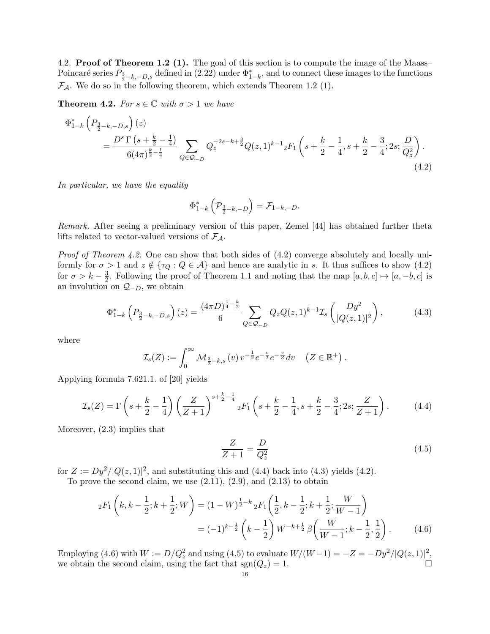4.2. **Proof of Theorem 1.2 (1).** The goal of this section is to compute the image of the Maass– Poincaré series  $P_{\frac{3}{2}-k,-D,s}$  defined in (2.22) under  $\Phi_{1-k}^*$ , and to connect these images to the functions  $\mathcal{F}_{\mathcal{A}}$ . We do so in the following theorem, which extends Theorem 1.2 (1).

**Theorem 4.2.** For  $s \in \mathbb{C}$  with  $\sigma > 1$  we have

$$
\Phi_{1-k}^{*} \left( P_{\frac{3}{2}-k,-D,s} \right)(z)
$$
\n
$$
= \frac{D^{s} \Gamma \left( s + \frac{k}{2} - \frac{1}{4} \right)}{6(4\pi)^{\frac{k}{2} - \frac{1}{4}}} \sum_{Q \in \mathcal{Q}_{-D}} Q_{z}^{-2s - k + \frac{3}{2}} Q(z,1)^{k-1} {}_{2}F_{1} \left( s + \frac{k}{2} - \frac{1}{4}, s + \frac{k}{2} - \frac{3}{4}; 2s; \frac{D}{Q_{z}^{2}} \right).
$$
\n
$$
(4.2)
$$

In particular, we have the equality

$$
\Phi_{1-k}^*\left(\mathcal{P}_{\frac{3}{2}-k,-D}\right)=\mathcal{F}_{1-k,-D}.
$$

Remark. After seeing a preliminary version of this paper, Zemel [44] has obtained further theta lifts related to vector-valued versions of  $\mathcal{F}_{\mathcal{A}}$ .

Proof of Theorem 4.2. One can show that both sides of  $(4.2)$  converge absolutely and locally uniformly for  $\sigma > 1$  and  $z \notin {\tau_Q : Q \in A}$  and hence are analytic in s. It thus suffices to show (4.2) for  $\sigma > k - \frac{3}{2}$  $\frac{3}{2}$ . Following the proof of Theorem 1.1 and noting that the map  $[a, b, c] \mapsto [a, -b, c]$  is an involution on  $Q_{-D}$ , we obtain

$$
\Phi_{1-k}^*\left(P_{\frac{3}{2}-k,-D,s}\right)(z) = \frac{(4\pi D)^{\frac{1}{4}-\frac{k}{2}}}{6} \sum_{Q \in \mathcal{Q}_{-D}} Q_z Q(z,1)^{k-1} \mathcal{I}_s\left(\frac{Dy^2}{|Q(z,1)|^2}\right),\tag{4.3}
$$

where

$$
\mathcal{I}_s(Z) := \int_0^\infty \mathcal{M}_{\frac{3}{2}-k,s}(v) v^{-\frac{1}{2}} e^{-\frac{v}{2}} e^{-\frac{v}{Z}} dv \quad (Z \in \mathbb{R}^+).
$$

Applying formula 7.621.1. of [20] yields

$$
\mathcal{I}_s(Z) = \Gamma\left(s + \frac{k}{2} - \frac{1}{4}\right) \left(\frac{Z}{Z+1}\right)^{s + \frac{k}{2} - \frac{1}{4}} {}_2F_1\left(s + \frac{k}{2} - \frac{1}{4}, s + \frac{k}{2} - \frac{3}{4}; 2s; \frac{Z}{Z+1}\right). \tag{4.4}
$$

Moreover, (2.3) implies that

$$
\frac{Z}{Z+1} = \frac{D}{Q_z^2} \tag{4.5}
$$

for  $Z := Dy^2/|Q(z, 1)|^2$ , and substituting this and (4.4) back into (4.3) yields (4.2).

To prove the second claim, we use  $(2.11)$ ,  $(2.9)$ , and  $(2.13)$  to obtain

$$
{}_2F_1\left(k, k-\frac{1}{2}; k+\frac{1}{2}; W\right) = (1-W)^{\frac{1}{2}-k} {}_2F_1\left(\frac{1}{2}, k-\frac{1}{2}; k+\frac{1}{2}; \frac{W}{W-1}\right)
$$

$$
= (-1)^{k-\frac{1}{2}} \left(k-\frac{1}{2}\right) W^{-k+\frac{1}{2}} \beta\left(\frac{W}{W-1}; k-\frac{1}{2}, \frac{1}{2}\right). \tag{4.6}
$$

Employing (4.6) with  $W := D/Q_z^2$  and using (4.5) to evaluate  $W/(W-1) = -Z = -Dy^2/|Q(z, 1)|^2$ , we obtain the second claim, using the fact that  $sgn(Q_z) = 1$ .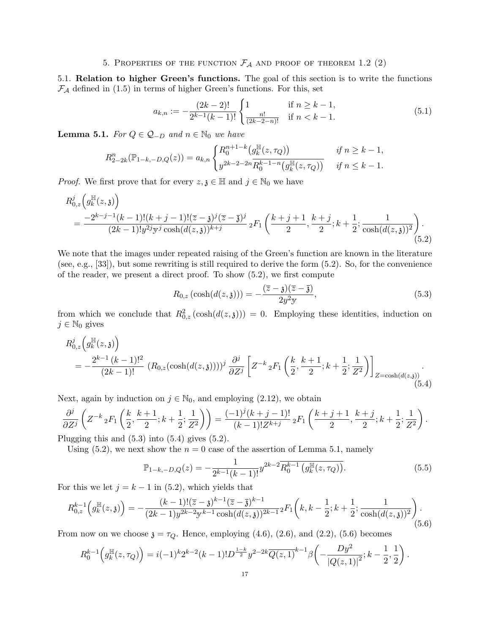# 5. PROPERTIES OF THE FUNCTION  $\mathcal{F}_{\mathcal{A}}$  and proof of theorem 1.2 (2)

5.1. Relation to higher Green's functions. The goal of this section is to write the functions  $\mathcal{F}_{\mathcal{A}}$  defined in (1.5) in terms of higher Green's functions. For this, set

$$
a_{k,n} := -\frac{(2k-2)!}{2^{k-1}(k-1)!} \begin{cases} 1 & \text{if } n \ge k-1, \\ \frac{n!}{(2k-2-n)!} & \text{if } n < k-1. \end{cases}
$$
(5.1)

**Lemma 5.1.** For  $Q \in \mathcal{Q}_{-D}$  and  $n \in \mathbb{N}_0$  we have

$$
R_{2-2k}^{n}(\mathbb{P}_{1-k,-D,Q}(z)) = a_{k,n} \begin{cases} R_0^{n+1-k}(g_k^{\mathbb{H}}(z,\tau_Q)) & \text{if } n \ge k-1, \\ y^{2k-2-2n} R_0^{k-1-n}(g_k^{\mathbb{H}}(z,\tau_Q)) & \text{if } n \le k-1. \end{cases}
$$

*Proof.* We first prove that for every  $z, \zeta \in \mathbb{H}$  and  $j \in \mathbb{N}_0$  we have

$$
R_{0,z}^{j}\left(g_{k}^{\mathbb{H}}(z,\mathfrak{z})\right)
$$
  
= 
$$
\frac{-2^{k-j-1}(k-1)!(k+j-1)!(\overline{z}-\mathfrak{z})^{j}(\overline{z}-\overline{\mathfrak{z}})^{j}}{(2k-1)!g^{2j}y^{j}\cosh((d(z,\mathfrak{z}))^{k+j})} {}_{2}F_{1}\left(\frac{k+j+1}{2},\frac{k+j}{2};k+\frac{1}{2};\frac{1}{\cosh((d(z,\mathfrak{z}))^{2}}\right).
$$
(5.2)

We note that the images under repeated raising of the Green's function are known in the literature (see, e.g., [33]), but some rewriting is still required to derive the form (5.2). So, for the convenience of the reader, we present a direct proof. To show (5.2), we first compute

$$
R_{0,z}(\cosh(d(z,\mathfrak{z}))) = -\frac{(\overline{z}-\mathfrak{z})(\overline{z}-\overline{\mathfrak{z}})}{2y^2y},\tag{5.3}
$$

from which we conclude that  $R_{0,z}^2(\cosh(d(z,\mathfrak{z})))=0$ . Employing these identities, induction on  $j \in \mathbb{N}_0$  gives

$$
R_{0,z}^{j}\left(g_{k}^{\mathbb{H}}(z,\mathfrak{z})\right)
$$
  
=  $-\frac{2^{k-1}(k-1)!^{2}}{(2k-1)!} \left(R_{0,z}(\cosh(d(z,\mathfrak{z})))\right)^{j}\frac{\partial^{j}}{\partial Z^{j}}\left[Z^{-k}{}_{2}F_{1}\left(\frac{k}{2},\frac{k+1}{2};k+\frac{1}{2};\frac{1}{Z^{2}}\right)\right]_{Z=\cosh(d(z,\mathfrak{z}))}.$  (5.4)

Next, again by induction on  $j \in \mathbb{N}_0$ , and employing  $(2.12)$ , we obtain

$$
\frac{\partial^j}{\partial Z^j} \left( Z^{-k} {}_2F_1\left( \frac{k}{2}, \frac{k+1}{2}; k+\frac{1}{2}; \frac{1}{Z^2} \right) \right) = \frac{(-1)^j (k+j-1)!}{(k-1)! Z^{k+j}} {}_2F_1\left( \frac{k+j+1}{2}, \frac{k+j}{2}; k+\frac{1}{2}; \frac{1}{Z^2} \right).
$$

Plugging this and  $(5.3)$  into  $(5.4)$  gives  $(5.2)$ .

Using (5.2), we next show the  $n = 0$  case of the assertion of Lemma 5.1, namely

$$
\mathbb{P}_{1-k,-D,Q}(z) = -\frac{1}{2^{k-1}(k-1)!} y^{2k-2} \overline{R_0^{k-1}(g_k^{\mathbb{H}}(z,\tau_Q))}.
$$
\n(5.5)

For this we let  $j = k - 1$  in (5.2), which yields that

$$
R_{0,z}^{k-1}\left(g_k^{\mathbb{H}}(z,\mathfrak{z})\right) = -\frac{(k-1)!(\overline{z}-\mathfrak{z})^{k-1}(\overline{z}-\overline{\mathfrak{z}})^{k-1}}{(2k-1)y^{2k-2}y^{k-1}\cosh(d(z,\mathfrak{z}))^{2k-1}}{}_2F_1\left(k,k-\frac{1}{2};k+\frac{1}{2};\frac{1}{\cosh(d(z,\mathfrak{z}))^2}\right).
$$
\n(5.6)

From now on we choose  $\mathfrak{z} = \tau_Q$ . Hence, employing (4.6), (2.6), and (2.2), (5.6) becomes

$$
R_0^{k-1}\left(g_k^{\mathbb{H}}(z,\tau_Q)\right) = i(-1)^k 2^{k-2}(k-1)! D^{\frac{1-k}{2}} y^{2-2k} \overline{Q(z,1)}^{k-1} \beta\left(-\frac{Dy^2}{|Q(z,1)|^2}; k-\frac{1}{2},\frac{1}{2}\right).
$$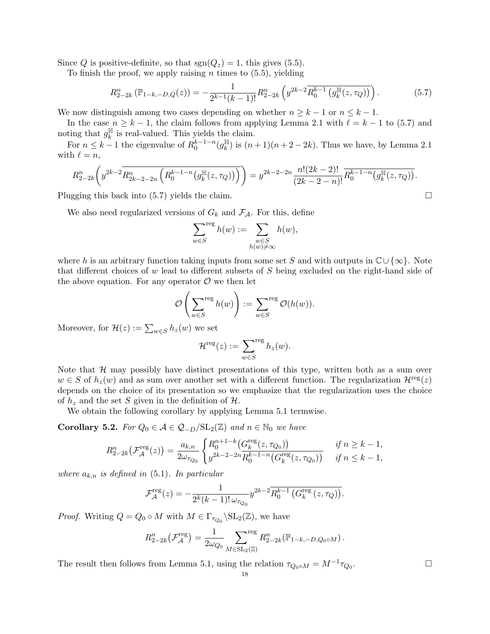Since Q is positive-definite, so that  $sgn(Q_z) = 1$ , this gives (5.5).

To finish the proof, we apply raising  $n$  times to  $(5.5)$ , yielding

$$
R_{2-2k}^{n}(\mathbb{P}_{1-k,-D,Q}(z)) = -\frac{1}{2^{k-1}(k-1)!}R_{2-2k}^{n}\left(y^{2k-2}\overline{R_{0}^{k-1}\left(g_{k}^{\mathbb{H}}(z,\tau_{Q})\right)}\right).
$$
(5.7)

We now distinguish among two cases depending on whether  $n \geq k - 1$  or  $n \leq k - 1$ .

In the case  $n \geq k - 1$ , the claim follows from applying Lemma 2.1 with  $\ell = k - 1$  to (5.7) and noting that  $g_k^{\mathbb{H}}$  $\frac{\mathbb{H}}{k}$  is real-valued. This yields the claim.

For  $n \leq k-1$  the eigenvalue of  $R_0^{k-1-n}(g_k^{\mathbb{H}})$  $\frac{\mathbb{H}}{k}$ ) is  $(n+1)(n+2-2k)$ . Thus we have, by Lemma 2.1 with  $\ell = n$ ,

$$
R_{2-2k}^{n}\left(y^{2k-2}\overline{R_{2k-2-2n}^{n}\left(R_{0}^{k-1-n}\left(g_{k}^{\mathbb{H}}(z,\tau_{Q})\right)\right)}\right)=y^{2k-2-2n}\frac{n!(2k-2)!}{(2k-2-n)!}\overline{R_{0}^{k-1-n}\left(g_{k}^{\mathbb{H}}(z,\tau_{Q})\right)}.
$$

Plugging this back into (5.7) yields the claim.

We also need regularized versions of  $G_k$  and  $\mathcal{F}_{\mathcal{A}}$ . For this, define

$$
\sum_{w \in S}^{reg} h(w) := \sum_{\substack{w \in S \\ h(w) \neq \infty}} h(w),
$$

where h is an arbitrary function taking inputs from some set S and with outputs in  $\mathbb{C}\cup\{\infty\}$ . Note that different choices of w lead to different subsets of S being excluded on the right-hand side of the above equation. For any operator  $\mathcal O$  we then let

$$
\mathcal{O}\left(\sum_{w\in S}^{\text{reg}}h(w)\right):=\sum_{w\in S}^{\text{reg}}\mathcal{O}(h(w)).
$$

Moreover, for  $\mathcal{H}(z) := \sum_{w \in S} h_z(w)$  we set

$$
\mathcal{H}^{\text{reg}}(z) := \sum_{w \in S}^{\text{reg}} h_z(w).
$$

Note that  $H$  may possibly have distinct presentations of this type, written both as a sum over  $w \in S$  of  $h_z(w)$  and as sum over another set with a different function. The regularization  $\mathcal{H}^{\text{reg}}(z)$ depends on the choice of its presentation so we emphasize that the regularization uses the choice of  $h_z$  and the set S given in the definition of  $H$ .

We obtain the following corollary by applying Lemma 5.1 termwise.

Corollary 5.2. For  $Q_0 \in \mathcal{A} \in \mathcal{Q}_{-D}/SL_2(\mathbb{Z})$  and  $n \in \mathbb{N}_0$  we have

$$
R_{2-2k}^{n}(\mathcal{F}_{\mathcal{A}}^{\text{reg}}(z)) = \frac{a_{k,n}}{2\omega_{\tau_{Q_0}}}\begin{cases} R_0^{n+1-k}\left(G_k^{\text{reg}}(z,\tau_{Q_0})\right) & \text{if } n \ge k-1, \\ y^{2k-2-2n}R_0^{k-1-n}\left(G_k^{\text{reg}}(z,\tau_{Q_0})\right) & \text{if } n \le k-1, \end{cases}
$$

where  $a_{k,n}$  is defined in (5.1). In particular

$$
\mathcal{F}_{\mathcal{A}}^{\text{reg}}(z) = -\frac{1}{2^{k}(k-1)!\,\omega_{\tau_{Q_0}}} y^{2k-2} \overline{R_0^{k-1}\left(G_k^{\text{reg}}(z,\tau_Q)\right)}.
$$

*Proof.* Writing  $Q = Q_0 \circ M$  with  $M \in \Gamma_{\tau_{Q_0}} \backslash \mathrm{SL}_2(\mathbb{Z})$ , we have

$$
R_{2-2k}^n(\mathcal{F}_{\mathcal{A}}^{\text{reg}}) = \frac{1}{2\omega_{Q_0}} \sum_{M \in \text{SL}_2(\mathbb{Z})}^{\text{reg}} R_{2-2k}^n(\mathbb{P}_{1-k,-D,Q_0 \circ M}).
$$

The result then follows from Lemma 5.1, using the relation  $\tau_{Q_0 \circ M} = M^{-1} \tau_{Q_0}$ . В последните и последните и последните и последните и последните и последните и последните и последните и по<br>В последните и последните и последните и последните и последните и последните и последните и последните и посл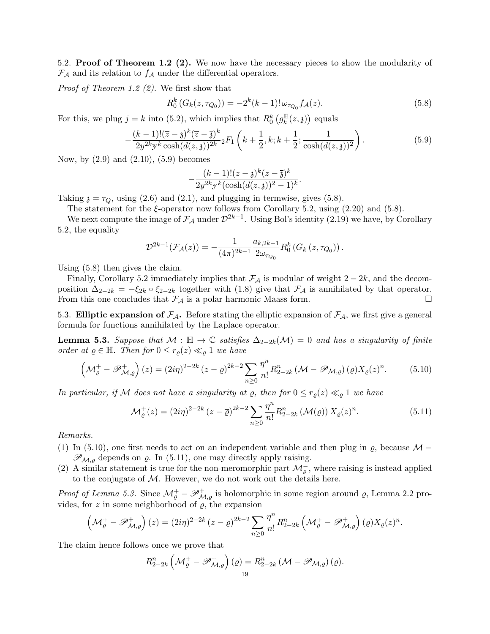5.2. Proof of Theorem 1.2 (2). We now have the necessary pieces to show the modularity of  $\mathcal{F}_{\mathcal{A}}$  and its relation to  $f_{\mathcal{A}}$  under the differential operators.

Proof of Theorem 1.2 (2). We first show that

$$
R_0^k(G_k(z, \tau_{Q_0})) = -2^k(k-1)!\,\omega_{\tau_{Q_0}}f_{\mathcal{A}}(z). \tag{5.8}
$$

For this, we plug  $j = k$  into (5.2), which implies that  $R_0^k$   $(g_k^{\mathbb{H}})$  $_{k}^{\mathbb{H}}(z,\mathfrak{z})\big)$  equals

$$
-\frac{(k-1)!(\overline{z}-\mathfrak{z})^k(\overline{z}-\overline{\mathfrak{z}})^k}{2y^{2k}y^k\cosh(d(z,\mathfrak{z}))^{2k}}{}_2F_1\left(k+\frac{1}{2},k;k+\frac{1}{2};\frac{1}{\cosh(d(z,\mathfrak{z}))^2}\right).
$$
(5.9)

Now, by (2.9) and (2.10), (5.9) becomes

$$
-\frac{(k-1)!(\overline{z}-\mathfrak{z})^k(\overline{z}-\overline{\mathfrak{z}})^k}{2y^{2k}y^k(\cosh(d(z,\mathfrak{z}))^2-1)^k}.
$$

Taking  $\chi = \tau_O$ , using (2.6) and (2.1), and plugging in termwise, gives (5.8).

The statement for the  $\xi$ -operator now follows from Corollary 5.2, using (2.20) and (5.8).

We next compute the image of  $\mathcal{F}_{\mathcal{A}}$  under  $\mathcal{D}^{2k-1}$ . Using Bol's identity (2.19) we have, by Corollary 5.2, the equality

$$
\mathcal{D}^{2k-1}(\mathcal{F}_{\mathcal{A}}(z)) = -\frac{1}{(4\pi)^{2k-1}} \frac{a_{k,2k-1}}{2\omega_{\tau_{Q_0}}} R_0^k(G_k(z,\tau_{Q_0}))\,.
$$

Using (5.8) then gives the claim.

Finally, Corollary 5.2 immediately implies that  $\mathcal{F}_{\mathcal{A}}$  is modular of weight 2 − 2k, and the decomposition  $\Delta_{2-2k} = -\xi_{2k} \circ \xi_{2-2k}$  together with (1.8) give that  $\mathcal{F}_{\mathcal{A}}$  is annihilated by that operator. From this one concludes that  $\mathcal{F}_{\mathcal{A}}$  is a polar harmonic Maass form.

5.3. Elliptic expansion of  $\mathcal{F}_{\mathcal{A}}$ . Before stating the elliptic expansion of  $\mathcal{F}_{\mathcal{A}}$ , we first give a general formula for functions annihilated by the Laplace operator.

**Lemma 5.3.** Suppose that  $M : \mathbb{H} \to \mathbb{C}$  satisfies  $\Delta_{2-2k}(\mathcal{M}) = 0$  and has a singularity of finite order at  $\rho \in \mathbb{H}$ . Then for  $0 \leq r_{\rho}(z) \ll_{\rho} 1$  we have

$$
\left(\mathcal{M}_{\varrho}^{+}-\mathscr{P}_{\mathcal{M},\varrho}^{+}\right)(z)=(2i\eta)^{2-2k}(z-\overline{\varrho})^{2k-2}\sum_{n\geq 0}\frac{\eta^{n}}{n!}R_{2-2k}^{n}\left(\mathcal{M}-\mathscr{P}_{\mathcal{M},\varrho}\right)(\varrho)X_{\varrho}(z)^{n}.\tag{5.10}
$$

In particular, if M does not have a singularity at  $\varrho$ , then for  $0 \leq r_o(z) \ll_o 1$  we have

$$
\mathcal{M}_{\varrho}^{+}(z) = (2i\eta)^{2-2k} (z - \overline{\varrho})^{2k-2} \sum_{n\geq 0} \frac{\eta^{n}}{n!} R_{2-2k}^{n} (\mathcal{M}(\varrho)) X_{\varrho}(z)^{n}.
$$
 (5.11)

Remarks.

- (1) In (5.10), one first needs to act on an independent variable and then plug in  $\varrho$ , because  $\mathcal{M}$  −  $\mathscr{P}_{\mathcal{M},\varrho}$  depends on  $\varrho$ . In (5.11), one may directly apply raising.
- (2) A similar statement is true for the non-meromorphic part  $\mathcal{M}_{\varrho}^-$ , where raising is instead applied to the conjugate of  $M$ . However, we do not work out the details here.

*Proof of Lemma 5.3.* Since  $\mathcal{M}_{\varrho}^+ - \mathscr{P}_{\mathcal{M},\varrho}^+$  is holomorphic in some region around  $\varrho$ , Lemma 2.2 provides, for  $z$  in some neighborhood of  $\varrho$ , the expansion

$$
\left(\mathcal{M}_{\varrho}^+ - \mathscr{P}_{\mathcal{M},\varrho}^+\right)(z) = (2i\eta)^{2-2k} (z-\overline{\varrho})^{2k-2} \sum_{n\geq 0} \frac{\eta^n}{n!} R_{2-2k}^n \left(\mathcal{M}_{\varrho}^+ - \mathscr{P}_{\mathcal{M},\varrho}^+\right)(\varrho) X_{\varrho}(z)^n.
$$

The claim hence follows once we prove that

$$
R_{2-2k}^{n}\left(\mathcal{M}_{\varrho}^{+}-\mathscr{P}_{\mathcal{M},\varrho}^{+}\right)(\varrho)=R_{2-2k}^{n}\left(\mathcal{M}-\mathscr{P}_{\mathcal{M},\varrho}\right)(\varrho).
$$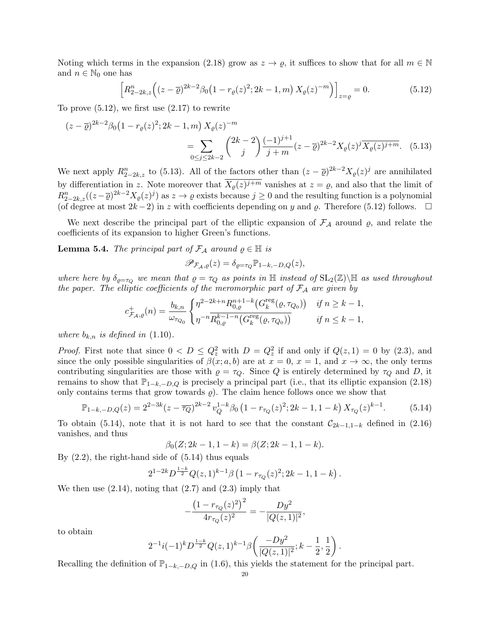Noting which terms in the expansion (2.18) grow as  $z \to \varrho$ , it suffices to show that for all  $m \in \mathbb{N}$ and  $n \in \mathbb{N}_0$  one has

$$
\[R_{2-2k,z}^n\Big((z-\overline{\varrho})^{2k-2}\beta_0\big(1-r_\varrho(z)^2;2k-1,m\big)\,X_\varrho(z)^{-m}\Big)\]_{z=\varrho}=0.\tag{5.12}
$$

To prove  $(5.12)$ , we first use  $(2.17)$  to rewrite

$$
(z - \overline{\varrho})^{2k - 2} \beta_0 \left( 1 - r_\varrho(z)^2; 2k - 1, m \right) X_\varrho(z)^{-m}
$$
  
= 
$$
\sum_{0 \le j \le 2k - 2} {2k - 2 \choose j} \frac{(-1)^{j+1}}{j + m} (z - \overline{\varrho})^{2k - 2} X_\varrho(z)^j \overline{X_\varrho(z)^{j+m}}.
$$
 (5.13)

We next apply  $R_{2-2k,z}^n$  to (5.13). All of the factors other than  $(z-\overline{\rho})^{2k-2}X_{\rho}(z)^j$  are annihilated by differentiation in z. Note moreover that  $X_{\varrho}(z)^{j+m}$  vanishes at  $z = \varrho$ , and also that the limit of  $R_{2-2k,z}^n((z-\overline{\varrho})^{2k-2}X_{\varrho}(z)^j)$  as  $z\to\varrho$  exists because  $j\geq 0$  and the resulting function is a polynomial (of degree at most  $2k-2$ ) in z with coefficients depending on y and  $\varrho$ . Therefore (5.12) follows.  $\Box$ 

We next describe the principal part of the elliptic expansion of  $\mathcal{F}_{\mathcal{A}}$  around  $\rho$ , and relate the coefficients of its expansion to higher Green's functions.

**Lemma 5.4.** The principal part of  $\mathcal{F}_\mathcal{A}$  around  $\varrho \in \mathbb{H}$  is

$$
\mathscr{P}_{\mathcal{F}_{\mathcal{A}},\varrho}(z) = \delta_{\varrho=\tau_Q} \mathbb{P}_{1-k,-D,Q}(z),
$$

where here by  $\delta_{\rho=\tau_Q}$  we mean that  $\rho=\tau_Q$  as points in  $\mathbb H$  instead of  $\text{SL}_2(\mathbb Z)\backslash\mathbb H$  as used throughout the paper. The elliptic coefficients of the meromorphic part of  $\mathcal{F}_{\mathcal{A}}$  are given by

$$
c_{\mathcal{F}_{\mathcal{A}},\varrho}^{+}(n) = \frac{b_{k,n}}{\omega_{\tau_{Q_0}}}\begin{cases} \eta^{2-2k+n}R_{0,\varrho}^{n+1-k}\big(G_k^{\text{reg}}(\varrho,\tau_{Q_0})\big) & \text{if } n \ge k-1, \\ \eta^{-n}\overline{R_{0,\varrho}^{k-1-n}\big(G_k^{\text{reg}}(\varrho,\tau_{Q_0})\big)} & \text{if } n \le k-1, \end{cases}
$$

where  $b_{k,n}$  is defined in (1.10).

*Proof.* First note that since  $0 < D \le Q_z^2$  with  $D = Q_z^2$  if and only if  $Q(z, 1) = 0$  by  $(2.3)$ , and since the only possible singularities of  $\beta(x; a, b)$  are at  $x = 0, x = 1$ , and  $x \to \infty$ , the only terms contributing singularities are those with  $\rho = \tau_Q$ . Since Q is entirely determined by  $\tau_Q$  and D, it remains to show that  $\mathbb{P}_{1-k,-D,Q}$  is precisely a principal part (i.e., that its elliptic expansion (2.18) only contains terms that grow towards  $\rho$ . The claim hence follows once we show that

$$
\mathbb{P}_{1-k,-D,Q}(z) = 2^{2-3k} (z - \overline{\tau_Q})^{2k-2} v_Q^{1-k} \beta_0 \left(1 - r_{\tau_Q}(z)^2; 2k - 1, 1 - k\right) X_{\tau_Q}(z)^{k-1}.
$$
 (5.14)

To obtain (5.14), note that it is not hard to see that the constant  $\mathcal{C}_{2k-1,1-k}$  defined in (2.16) vanishes, and thus

$$
\beta_0(Z; 2k-1, 1-k) = \beta(Z; 2k-1, 1-k).
$$

By  $(2.2)$ , the right-hand side of  $(5.14)$  thus equals

$$
2^{1-2k}D^{\frac{1-k}{2}}Q(z,1)^{k-1}\beta(1-r_{\tau_Q}(z)^2;2k-1,1-k).
$$

We then use  $(2.14)$ , noting that  $(2.7)$  and  $(2.3)$  imply that

$$
-\frac{\left(1-r_{\tau_Q}(z)^2\right)^2}{4r_{\tau_Q}(z)^2}=-\frac{Dy^2}{|Q(z,1)|^2},
$$

to obtain

$$
2^{-1}i(-1)^{k}D^{\frac{1-k}{2}}Q(z,1)^{k-1}\beta\left(\frac{-Dy^{2}}{|Q(z,1)|^{2}};k-\frac{1}{2},\frac{1}{2}\right).
$$

Recalling the definition of  $\mathbb{P}_{1-k,-D,Q}$  in (1.6), this yields the statement for the principal part.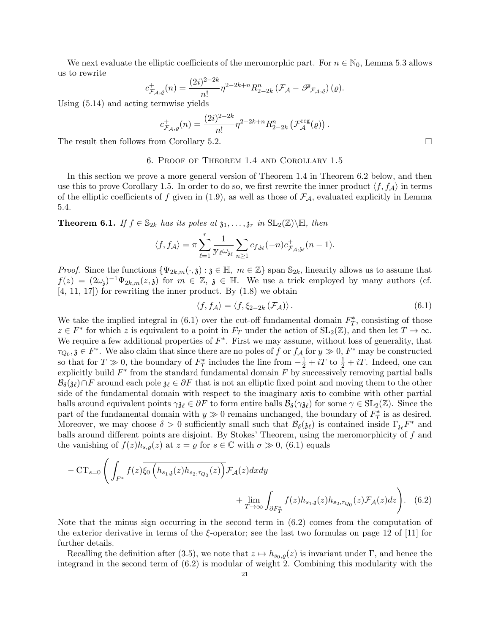We next evaluate the elliptic coefficients of the meromorphic part. For  $n \in \mathbb{N}_0$ , Lemma 5.3 allows us to rewrite

$$
c_{\mathcal{F}_{\mathcal{A}},\varrho}^{+}(n)=\frac{(2i)^{2-2k}}{n!}\eta^{2-2k+n}R_{2-2k}^{n}\left(\mathcal{F}_{\mathcal{A}}-\mathscr{P}_{\mathcal{F}_{\mathcal{A}},\varrho}\right)(\varrho).
$$

Using (5.14) and acting termwise yields

$$
c_{\mathcal{F}_{\mathcal{A}},\varrho}^{+}(n) = \frac{(2i)^{2-2k}}{n!} \eta^{2-2k+n} R_{2-2k}^{n} \left( \mathcal{F}_{\mathcal{A}}^{\text{reg}}(\varrho) \right)
$$

The result then follows from Corollary 5.2.

## 6. Proof of Theorem 1.4 and Corollary 1.5

In this section we prove a more general version of Theorem 1.4 in Theorem 6.2 below, and then use this to prove Corollary 1.5. In order to do so, we first rewrite the inner product  $\langle f, f_A \rangle$  in terms of the elliptic coefficients of f given in (1.9), as well as those of  $\mathcal{F}_{\mathcal{A}}$ , evaluated explicitly in Lemma 5.4.

**Theorem 6.1.** If  $f \in \mathbb{S}_{2k}$  has its poles at  $\mathfrak{z}_1, \ldots, \mathfrak{z}_r$  in  $\text{SL}_2(\mathbb{Z})\backslash \mathbb{H}$ , then

$$
\langle f, f_{\mathcal{A}} \rangle = \pi \sum_{\ell=1}^r \frac{1}{\mathbb{E}(\omega_{\mathfrak{z}_{\ell}})} \sum_{n \geq 1} c_{f, \mathfrak{z}_{\ell}}(-n) c_{\mathcal{F}_{\mathcal{A}}, \mathfrak{z}_{\ell}}^+(n-1).
$$

*Proof.* Since the functions  $\{\Psi_{2k,m}(\cdot,\mathfrak{z}) : \mathfrak{z} \in \mathbb{H}, m \in \mathbb{Z}\}$  span  $\mathbb{S}_{2k}$ , linearity allows us to assume that  $f(z) = (2\omega_{\mathfrak{z}})^{-1} \Psi_{2k,m}(z,\mathfrak{z})$  for  $m \in \mathbb{Z}, \mathfrak{z} \in \mathbb{H}$ . We use a trick employed by many authors (cf.  $[4, 11, 17]$  for rewriting the inner product. By  $(1.8)$  we obtain

$$
\langle f, f_{\mathcal{A}} \rangle = \langle f, \xi_{2-2k} \left( \mathcal{F}_{\mathcal{A}} \right) \rangle. \tag{6.1}
$$

.

We take the implied integral in  $(6.1)$  over the cut-off fundamental domain  $F_T^*$ , consisting of those  $z \in F^*$  for which z is equivalent to a point in  $F_T$  under the action of  $SL_2(\mathbb{Z})$ , and then let  $T \to \infty$ . We require a few additional properties of  $F^*$ . First we may assume, without loss of generality, that  $\tau_{Q_0}, \mathfrak{z} \in F^*$ . We also claim that since there are no poles of f or  $f_{\mathcal{A}}$  for  $y \gg 0, F^*$  may be constructed so that for  $T \gg 0$ , the boundary of  $F_T^*$  includes the line from  $-\frac{1}{2} + iT$  to  $\frac{1}{2} + iT$ . Indeed, one can explicitly build  $F^*$  from the standard fundamental domain F by successively removing partial balls  $\mathcal{B}_{\delta}(\mathfrak{z}_{\ell})\cap F$  around each pole  $\mathfrak{z}_{\ell}\in\partial F$  that is not an elliptic fixed point and moving them to the other side of the fundamental domain with respect to the imaginary axis to combine with other partial balls around equivalent points  $\gamma_{\mathfrak{z}\ell} \in \partial F$  to form entire balls  $\mathcal{B}_{\delta}(\gamma_{\mathfrak{z}\ell})$  for some  $\gamma \in SL_2(\mathbb{Z})$ . Since the part of the fundamental domain with  $y \gg 0$  remains unchanged, the boundary of  $F_T^*$  is as desired. Moreover, we may choose  $\delta > 0$  sufficiently small such that  $\mathcal{B}_{\delta}(\mathfrak{z}_{\ell})$  is contained inside  $\Gamma_{\mathfrak{z}_{\ell}}F^*$  and balls around different points are disjoint. By Stokes' Theorem, using the meromorphicity of f and the vanishing of  $f(z)h_{s,\rho}(z)$  at  $z = \rho$  for  $s \in \mathbb{C}$  with  $\sigma \gg 0$ , (6.1) equals

$$
- \operatorname{CT}_{s=0} \left( \int_{F^*} f(z) \overline{\xi_0 \left( h_{s_1,\mathfrak{z}}(z) h_{s_2,\tau_{Q_0}}(z) \right)} \mathcal{F}_{\mathcal{A}}(z) dx dy + \lim_{T \to \infty} \int_{\partial F_T^*} f(z) h_{s_1,\mathfrak{z}}(z) h_{s_2,\tau_{Q_0}}(z) \mathcal{F}_{\mathcal{A}}(z) dz \right). \tag{6.2}
$$

Note that the minus sign occurring in the second term in (6.2) comes from the computation of the exterior derivative in terms of the ξ-operator; see the last two formulas on page 12 of [11] for further details.

Recalling the definition after (3.5), we note that  $z \mapsto h_{s_0,\varrho}(z)$  is invariant under Γ, and hence the integrand in the second term of (6.2) is modular of weight 2. Combining this modularity with the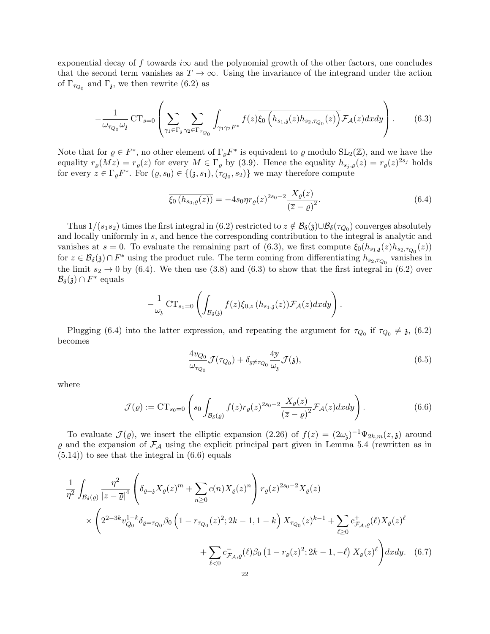exponential decay of f towards i $\infty$  and the polynomial growth of the other factors, one concludes that the second term vanishes as  $T \to \infty$ . Using the invariance of the integrand under the action of  $\Gamma_{\tau_{Q_0}}$  and  $\Gamma_{\mathfrak{z}}$ , we then rewrite (6.2) as

$$
-\frac{1}{\omega_{\tau_{Q_0}}\omega_{\mathfrak{z}}}\operatorname{CT}_{s=0}\left(\sum_{\gamma_1\in\Gamma_{\mathfrak{z}}}\sum_{\gamma_2\in\Gamma_{\tau_{Q_0}}}\int_{\gamma_1\gamma_2F^*}f(z)\overline{\xi_0\left(h_{s_1,\mathfrak{z}}(z)h_{s_2,\tau_{Q_0}}(z)\right)}\mathcal{F}_{\mathcal{A}}(z)dxdy\right).
$$
(6.3)

Note that for  $\varrho \in F^*$ , no other element of  $\Gamma_{\varrho} F^*$  is equivalent to  $\varrho$  modulo  $SL_2(\mathbb{Z})$ , and we have the equality  $r_{\varrho}(Mz) = r_{\varrho}(z)$  for every  $M \in \Gamma_{\varrho}$  by (3.9). Hence the equality  $h_{s_j, \varrho}(z) = r_{\varrho}(z)^{2s_j}$  holds for every  $z \in \Gamma_{\varrho} F^*$ . For  $(\varrho, s_0) \in \{(\mathfrak{z}, s_1), (\tau_{Q_0}, s_2)\}\$  we may therefore compute

$$
\overline{\xi_0\left(h_{s_0,\varrho}(z)\right)} = -4s_0 \eta r_\varrho(z)^{2s_0-2} \frac{X_\varrho(z)}{\left(\overline{z}-\varrho\right)^2}.\tag{6.4}
$$

Thus  $1/(s_1s_2)$  times the first integral in (6.2) restricted to  $z \notin \mathcal{B}_{\delta}(z) \cup \mathcal{B}_{\delta}(\tau_{Q_0})$  converges absolutely and locally uniformly in s, and hence the corresponding contribution to the integral is analytic and vanishes at  $s = 0$ . To evaluate the remaining part of (6.3), we first compute  $\xi_0(h_{s_1,\mathfrak{z}}(z)h_{s_2,\tau_{Q_0}}(z))$ for  $z \in \mathcal{B}_{\delta}(\mathfrak{z}) \cap F^*$  using the product rule. The term coming from differentiating  $h_{s_2, \tau_{Q_0}}$  vanishes in the limit  $s_2 \to 0$  by (6.4). We then use (3.8) and (6.3) to show that the first integral in (6.2) over  $\mathcal{B}_{\delta}(\mathfrak{z}) \cap F^*$  equals

$$
-\frac{1}{\omega_{\mathfrak{z}}} \mathbf{CT}_{s_1=0} \left( \int_{\mathcal{B}_{\delta}(\mathfrak{z})} f(z) \overline{\xi_{0,z} \left( h_{s_1,\mathfrak{z}}(z) \right)} \mathcal{F}_{\mathcal{A}}(z) dx dy \right).
$$

Plugging (6.4) into the latter expression, and repeating the argument for  $\tau_{Q_0}$  if  $\tau_{Q_0} \neq \mathfrak{z}$ , (6.2) becomes

$$
\frac{4v_{Q_0}}{\omega_{\tau_{Q_0}}}\mathcal{J}(\tau_{Q_0}) + \delta_{\mathfrak{z}\neq\tau_{Q_0}}\frac{4y}{\omega_{\mathfrak{z}}}\mathcal{J}(\mathfrak{z}),\tag{6.5}
$$

where

$$
\mathcal{J}(\varrho) := \mathrm{CT}_{s_0=0} \left( s_0 \int_{\mathcal{B}_{\delta}(\varrho)} f(z) r_{\varrho}(z)^{2s_0-2} \frac{X_{\varrho}(z)}{\left(\overline{z}-\varrho\right)^2} \mathcal{F}_{\mathcal{A}}(z) dx dy \right). \tag{6.6}
$$

To evaluate  $\mathcal{J}(\varrho)$ , we insert the elliptic expansion  $(2.26)$  of  $f(z) = (2\omega_i)^{-1} \Psi_{2k,m}(z,\mathfrak{z})$  around  $\varrho$  and the expansion of  $\mathcal{F}_{\mathcal{A}}$  using the explicit principal part given in Lemma 5.4 (rewritten as in  $(5.14)$ ) to see that the integral in  $(6.6)$  equals

$$
\frac{1}{\eta^2} \int_{\mathcal{B}_{\delta}(\varrho)} \frac{\eta^2}{|z-\overline{\varrho}|^4} \left( \delta_{\varrho=3} X_{\varrho}(z)^m + \sum_{n\geq 0} c(n) X_{\varrho}(z)^n \right) r_{\varrho}(z)^{2s_0-2} X_{\varrho}(z)
$$
\n
$$
\times \left( 2^{2-3k} v_{Q_0}^{1-k} \delta_{\varrho=\tau_{Q_0}} \beta_0 \left( 1 - r_{\tau_{Q_0}}(z)^2; 2k-1, 1-k \right) X_{\tau_{Q_0}}(z)^{k-1} + \sum_{\ell \geq 0} c_{\mathcal{F}_{\mathcal{A}},\varrho}^+(\ell) X_{\varrho}(z)^{\ell} + \sum_{\ell < 0} c_{\mathcal{F}_{\mathcal{A}},\varrho}^-(\ell) \beta_0 \left( 1 - r_{\varrho}(z)^2; 2k-1, -\ell \right) X_{\varrho}(z)^{\ell} \right) dx dy. \tag{6.7}
$$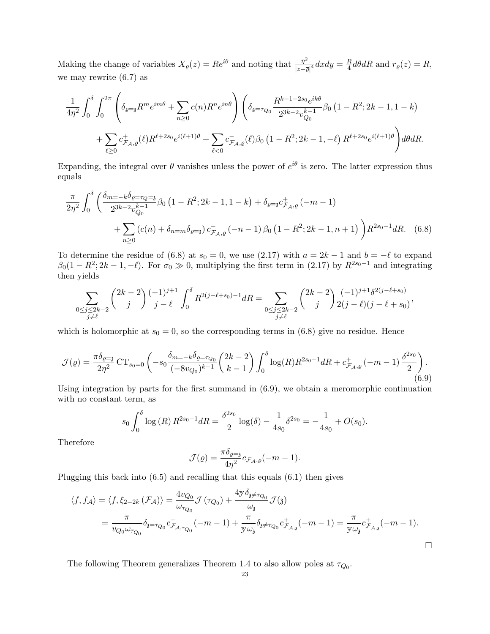Making the change of variables  $X_{\varrho}(z) = Re^{i\theta}$  and noting that  $\frac{\eta^2}{|z|^2}$  $\frac{\eta^2}{|z-\overline{\varrho}|^4}dxdy=\frac{R}{4}$  $\frac{R}{4}d\theta dR$  and  $r_{\varrho}(z) = R$ , we may rewrite (6.7) as

$$
\frac{1}{4\eta^2} \int_0^{\delta} \int_0^{2\pi} \left( \delta_{\varrho=3} R^m e^{im\theta} + \sum_{n\geq 0} c(n) R^n e^{in\theta} \right) \left( \delta_{\varrho=\tau_{Q_0}} \frac{R^{k-1+2s_0} e^{ik\theta}}{2^{3k-2} v_{Q_0}^{k-1}} \beta_0 \left( 1 - R^2; 2k - 1, 1 - k \right) \right. \\ \left. + \sum_{\ell \geq 0} c^+_{\mathcal{F}_{\mathcal{A}},\varrho}(\ell) R^{\ell+2s_0} e^{i(\ell+1)\theta} + \sum_{\ell < 0} c^-_{\mathcal{F}_{\mathcal{A}},\varrho}(\ell) \beta_0 \left( 1 - R^2; 2k - 1, -\ell \right) R^{\ell+2s_0} e^{i(\ell+1)\theta} \right) d\theta dR.
$$

Expanding, the integral over  $\theta$  vanishes unless the power of  $e^{i\theta}$  is zero. The latter expression thus equals

$$
\frac{\pi}{2\eta^2} \int_0^\delta \left( \frac{\delta_{m=-k}\delta_{\varrho=\tau_Q=s}}{2^{3k-2}v_{Q_0}^{k-1}} \beta_0 \left(1 - R^2; 2k - 1, 1 - k\right) + \delta_{\varrho=s} c_{\mathcal{F}_{A,\varrho}}^+ (-m - 1) + \sum_{n\geq 0} \left(c(n) + \delta_{n=m}\delta_{\varrho=s}\right) c_{\mathcal{F}_{A,\varrho}}^- (-n - 1) \beta_0 \left(1 - R^2; 2k - 1, n + 1\right) \right) R^{2s_0-1} dR. \tag{6.8}
$$

To determine the residue of (6.8) at  $s_0 = 0$ , we use (2.17) with  $a = 2k - 1$  and  $b = -\ell$  to expand  $\beta_0(1 - R^2; 2k - 1, -\ell)$ . For  $\sigma_0 \gg 0$ , multiplying the first term in (2.17) by  $R^{2s_0-1}$  and integrating then yields

$$
\sum_{\substack{0 \le j \le 2k-2 \\ j \ne \ell}} \binom{2k-2}{j} \frac{(-1)^{j+1}}{j-\ell} \int_0^\delta R^{2(j-\ell+s_0)-1} dR = \sum_{\substack{0 \le j \le 2k-2 \\ j \ne \ell}} \binom{2k-2}{j} \frac{(-1)^{j+1} \delta^{2(j-\ell+s_0)}}{2(j-\ell)(j-\ell+s_0)},
$$

which is holomorphic at  $s_0 = 0$ , so the corresponding terms in (6.8) give no residue. Hence

$$
\mathcal{J}(\varrho) = \frac{\pi \delta_{\varrho=3}}{2\eta^2} \operatorname{CT}_{s_0=0} \left( -s_0 \frac{\delta_{m=-k} \delta_{\varrho=\tau_{Q_0}}}{(-8v_{Q_0})^{k-1}} {2k-2 \choose k-1} \int_0^\delta \log(R) R^{2s_0-1} dR + c^+_{\mathcal{F}_{\mathcal{A}},\varrho} (-m-1) \frac{\delta^{2s_0}}{2} \right). \tag{6.9}
$$

Using integration by parts for the first summand in  $(6.9)$ , we obtain a meromorphic continuation with no constant term, as

$$
s_0 \int_0^\delta \log(R) R^{2s_0-1} dR = \frac{\delta^{2s_0}}{2} \log(\delta) - \frac{1}{4s_0} \delta^{2s_0} = -\frac{1}{4s_0} + O(s_0).
$$

Therefore

$$
\mathcal{J}(\varrho) = \frac{\pi \delta_{\varrho=3}}{4\eta^2} c_{\mathcal{F}_{\mathcal{A}},\varrho}(-m-1).
$$

Plugging this back into (6.5) and recalling that this equals (6.1) then gives

$$
\langle f, f_A \rangle = \langle f, \xi_{2-2k} \left( \mathcal{F}_A \right) \rangle = \frac{4v_{Q_0}}{\omega_{\tau_{Q_0}}} \mathcal{J}(\tau_{Q_0}) + \frac{4y \delta_{3\neq \tau_{Q_0}}}{\omega_{3}} \mathcal{J}(\mathfrak{z})
$$
  
= 
$$
\frac{\pi}{v_{Q_0} \omega_{\tau_{Q_0}}} \delta_{3=\tau_{Q_0}} c_{\mathcal{F}_{A, \tau_{Q_0}}}^+(-m-1) + \frac{\pi}{y \omega_{3}} \delta_{3\neq \tau_{Q_0}} c_{\mathcal{F}_{A,3}}^+(-m-1) = \frac{\pi}{y \omega_{3}} c_{\mathcal{F}_{A,3}}^+(-m-1).
$$

 $\Box$ 

The following Theorem generalizes Theorem 1.4 to also allow poles at  $\tau_{Q_0}$ .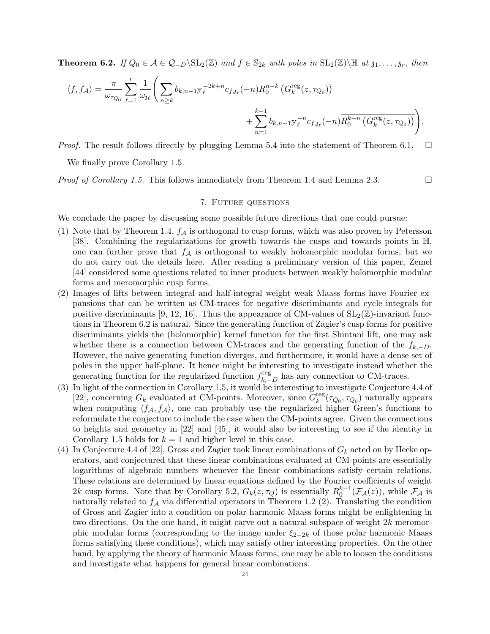**Theorem 6.2.** If  $Q_0 \in \mathcal{A} \in \mathcal{Q}_{-D} \setminus SL_2(\mathbb{Z})$  and  $f \in \mathbb{S}_{2k}$  with poles in  $SL_2(\mathbb{Z}) \setminus \mathbb{H}$  at  $\mathfrak{z}_1, \ldots, \mathfrak{z}_r$ , then

$$
\langle f, f_{\mathcal{A}} \rangle = \frac{\pi}{\omega_{\tau_{Q_0}}} \sum_{\ell=1}^r \frac{1}{\omega_{\delta \ell}} \left( \sum_{n \geq k} b_{k,n-1} y_{\ell}^{-2k+n} c_{f,\delta \ell}(-n) R_0^{n-k} \left( G_k^{\text{reg}}(z, \tau_{Q_0}) \right) + \sum_{n=1}^{k-1} b_{k,n-1} y_{\ell}^{-n} c_{f,\delta \ell}(-n) \overline{R_0^{k-n} \left( G_k^{\text{reg}}(z, \tau_{Q_0}) \right)} \right).
$$

*Proof.* The result follows directly by plugging Lemma 5.4 into the statement of Theorem 6.1.  $\Box$ 

We finally prove Corollary 1.5.

*Proof of Corollary 1.5.* This follows immediately from Theorem 1.4 and Lemma 2.3.  $\Box$ 

# 7. Future questions

We conclude the paper by discussing some possible future directions that one could pursue:

- (1) Note that by Theorem 1.4,  $f_A$  is orthogonal to cusp forms, which was also proven by Petersson [38]. Combining the regularizations for growth towards the cusps and towards points in H, one can further prove that  $f_A$  is orthogonal to weakly holomorphic modular forms, but we do not carry out the details here. After reading a preliminary version of this paper, Zemel [44] considered some questions related to inner products between weakly holomorphic modular forms and meromorphic cusp forms.
- (2) Images of lifts between integral and half-integral weight weak Maass forms have Fourier expansions that can be written as CM-traces for negative discriminants and cycle integrals for positive discriminants [9, 12, 16]. Thus the appearance of CM-values of  $SL_2(\mathbb{Z})$ -invariant functions in Theorem 6.2 is natural. Since the generating function of Zagier's cusp forms for positive discriminants yields the (holomorphic) kernel function for the first Shintani lift, one may ask whether there is a connection between CM-traces and the generating function of the  $f_{k,-D}$ . However, the naive generating function diverges, and furthermore, it would have a dense set of poles in the upper half-plane. It hence might be interesting to investigate instead whether the generating function for the regularized function  $f_k^{\text{reg}}$  $\sum_{k,-D}^{\text{reg}}$  has any connection to CM-traces.
- (3) In light of the connection in Corollary 1.5, it would be interesting to investigate Conjecture 4.4 of [22], concerning  $G_k$  evaluated at CM-points. Moreover, since  $\widetilde{G}_k^{\text{reg}}$  $\int_k^{\text{reg}}(\tau_{Q_0}, \tau_{Q_0})$  naturally appears when computing  $\langle f_A, f_A \rangle$ , one can probably use the regularized higher Green's functions to reformulate the conjecture to include the case when the CM-points agree. Given the connections to heights and geometry in [22] and [45], it would also be interesting to see if the identity in Corollary 1.5 holds for  $k = 1$  and higher level in this case.
- (4) In Conjecture 4.4 of [22], Gross and Zagier took linear combinations of  $G_k$  acted on by Hecke operators, and conjectured that these linear combinations evaluated at CM-points are essentially logarithms of algebraic numbers whenever the linear combinations satisfy certain relations. These relations are determined by linear equations defined by the Fourier coefficients of weight 2k cusp forms. Note that by Corollary 5.2,  $G_k(z, \tau_Q)$  is essentially  $R_0^{k-1}(\mathcal{F}_A(z))$ , while  $\mathcal{F}_A$  is naturally related to  $f_A$  via differential operators in Theorem 1.2 (2). Translating the condition of Gross and Zagier into a condition on polar harmonic Maass forms might be enlightening in two directions. On the one hand, it might carve out a natural subspace of weight  $2k$  meromorphic modular forms (corresponding to the image under  $\xi_{2-2k}$  of those polar harmonic Maass forms satisfying these conditions), which may satisfy other interesting properties. On the other hand, by applying the theory of harmonic Maass forms, one may be able to loosen the conditions and investigate what happens for general linear combinations.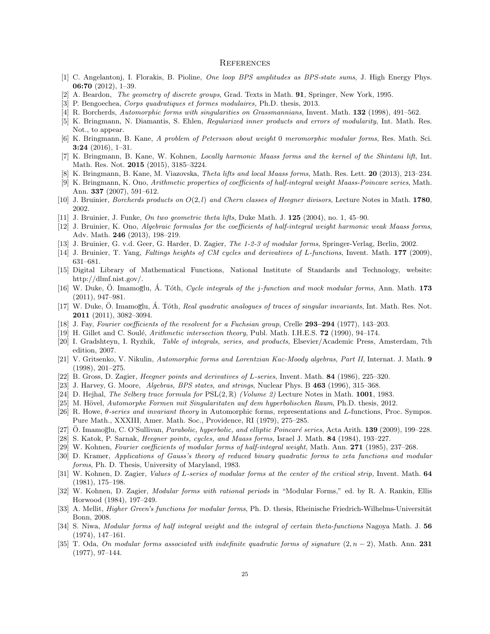#### **REFERENCES**

- [1] C. Angelantonj, I. Florakis, B. Pioline, One loop BPS amplitudes as BPS-state sums, J. High Energy Phys. 06:70 (2012), 1–39.
- [2] A. Beardon, *The geometry of discrete groups*, Grad. Texts in Math. **91**, Springer, New York, 1995.
- [3] P. Bengoechea, Corps quadratiques et formes modulaires, Ph.D. thesis, 2013.
- [4] R. Borcherds, Automorphic forms with singularities on Grassmannians, Invent. Math. 132 (1998), 491–562.
- [5] K. Bringmann, N. Diamantis, S. Ehlen, Regularized inner products and errors of modularity, Int. Math. Res. Not., to appear.
- [6] K. Bringmann, B. Kane, A problem of Petersson about weight 0 meromorphic modular forms, Res. Math. Sci.  $3:24$  (2016), 1–31.
- [7] K. Bringmann, B. Kane, W. Kohnen, Locally harmonic Maass forms and the kernel of the Shintani lift, Int. Math. Res. Not. 2015 (2015), 3185–3224.
- [8] K. Bringmann, B. Kane, M. Viazovska, Theta lifts and local Maass forms, Math. Res. Lett. 20 (2013), 213–234.
- [9] K. Bringmann, K. Ono, Arithmetic properties of coefficients of half-integral weight Maass-Poincare series, Math. Ann. 337 (2007), 591–612.
- [10] J. Bruinier, Borcherds products on  $O(2, l)$  and Chern classes of Heegner divisors, Lecture Notes in Math. 1780, 2002.
- [11] J. Bruinier, J. Funke, On two geometric theta lifts, Duke Math. J. 125 (2004), no. 1, 45–90.
- [12] J. Bruinier, K. Ono, Algebraic formulas for the coefficients of half-integral weight harmonic weak Maass forms, Adv. Math. 246 (2013), 198–219.
- [13] J. Bruinier, G. v.d. Geer, G. Harder, D. Zagier, The 1-2-3 of modular forms, Springer-Verlag, Berlin, 2002.
- [14] J. Bruinier, T. Yang, Faltings heights of CM cycles and derivatives of L-functions, Invent. Math. 177 (2009), 631–681.
- [15] Digital Library of Mathematical Functions, National Institute of Standards and Technology, website: http://dlmf.nist.gov/.
- [16] W. Duke, O. Imamoglu, A. Tóth, Cycle integrals of the j-function and mock modular forms, Ann. Math. 173 (2011), 947–981.
- [17] W. Duke, O. Imamoglu, A. Tóth, Real quadratic analogues of traces of singular invariants, Int. Math. Res. Not. 2011 (2011), 3082–3094.
- [18] J. Fay, Fourier coefficients of the resolvent for a Fuchsian group, Crelle 293-294 (1977), 143-203.
- [19] H. Gillet and C. Soulé, Arithmetic intersection theory, Publ. Math. I.H.E.S. 72 (1990), 94-174.
- [20] I. Gradshteyn, I. Ryzhik, Table of integrals, series, and products, Elsevier/Academic Press, Amsterdam, 7th edition, 2007.
- [21] V. Gritsenko, V. Nikulin, Automorphic forms and Lorentzian Kac-Moody algebras, Part II, Internat. J. Math. 9 (1998), 201–275.
- [22] B. Gross, D. Zagier, Heegner points and derivatives of L-series, Invent. Math. 84 (1986), 225–320.
- [23] J. Harvey, G. Moore, Algebras, BPS states, and strings, Nuclear Phys. B 463 (1996), 315–368.
- [24] D. Hejhal, The Selberg trace formula for  $PSL(2,\mathbb{R})$  (Volume 2) Lecture Notes in Math. 1001, 1983.
- [25] M. Hövel, Automorphe Formen mit Singularitaten auf dem hyperbolischen Raum, Ph.D. thesis, 2012.
- [26] R. Howe, θ-series and invariant theory in Automorphic forms, representations and L-functions, Proc. Sympos. Pure Math., XXXIII, Amer. Math. Soc., Providence, RI (1979), 275–285.
- [27] O. Imamoglu, C. O'Sullivan, Parabolic, hyperbolic, and elliptic Poincaré series, Acta Arith. 139 (2009), 199–228.
- [28] S. Katok, P. Sarnak, Heegner points, cycles, and Maass forms, Israel J. Math. 84 (1984), 193–227.
- [29] W. Kohnen, Fourier coefficients of modular forms of half-integral weight, Math. Ann. 271 (1985), 237–268.
- [30] D. Kramer, Applications of Gauss's theory of reduced binary quadratic forms to zeta functions and modular forms, Ph. D. Thesis, University of Maryland, 1983.
- [31] W. Kohnen, D. Zagier, *Values of L-series of modular forms at the center of the critical strip*, Invent. Math. 64 (1981), 175–198.
- [32] W. Kohnen, D. Zagier, Modular forms with rational periods in "Modular Forms," ed. by R. A. Rankin, Ellis Horwood (1984), 197–249.
- [33] A. Mellit, *Higher Green's functions for modular forms*, Ph. D. thesis, Rheinische Friedrich-Wilhelms-Universität Bonn, 2008.
- [34] S. Niwa, Modular forms of half integral weight and the integral of certain theta-functions Nagoya Math. J. 56 (1974), 147–161.
- [35] T. Oda, On modular forms associated with indefinite quadratic forms of signature  $(2, n 2)$ , Math. Ann. 231 (1977), 97–144.